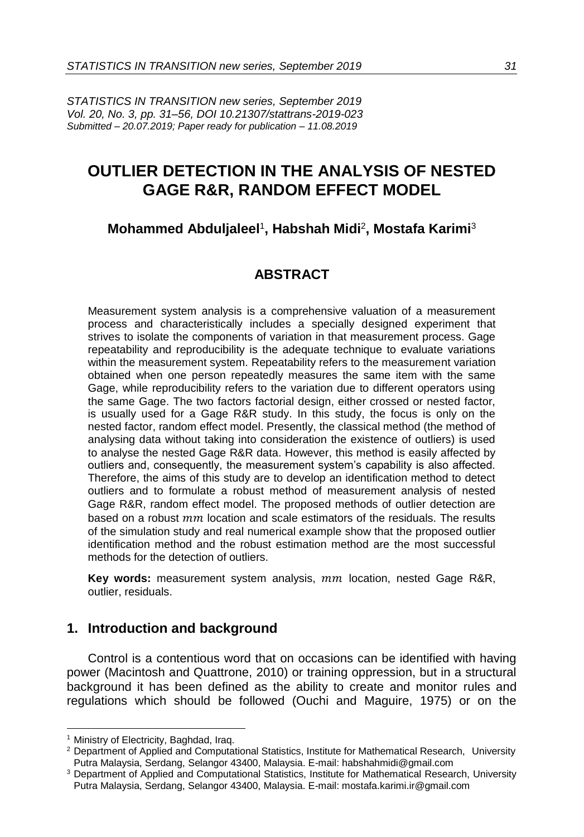*STATISTICS IN TRANSITION new series, September 2019 Vol. 20, No. 3, pp. 31–56, DOI 10.21307/stattrans-2019-023 Submitted – 20.07.2019; Paper ready for publication – 11.08.2019*

# **OUTLIER DETECTION IN THE ANALYSIS OF NESTED GAGE R&R, RANDOM EFFECT MODEL**

# **Mohammed Abduljaleel**<sup>1</sup> **, Habshah Midi**<sup>2</sup> **, Mostafa Karimi**<sup>3</sup>

# **ABSTRACT**

Measurement system analysis is a comprehensive valuation of a measurement process and characteristically includes a specially designed experiment that strives to isolate the components of variation in that measurement process. Gage repeatability and reproducibility is the adequate technique to evaluate variations within the measurement system. Repeatability refers to the measurement variation obtained when one person repeatedly measures the same item with the same Gage, while reproducibility refers to the variation due to different operators using the same Gage. The two factors factorial design, either crossed or nested factor, is usually used for a Gage R&R study. In this study, the focus is only on the nested factor, random effect model. Presently, the classical method (the method of analysing data without taking into consideration the existence of outliers) is used to analyse the nested Gage R&R data. However, this method is easily affected by outliers and, consequently, the measurement system's capability is also affected. Therefore, the aims of this study are to develop an identification method to detect outliers and to formulate a robust method of measurement analysis of nested Gage R&R, random effect model. The proposed methods of outlier detection are based on a robust  $mm$  location and scale estimators of the residuals. The results of the simulation study and real numerical example show that the proposed outlier identification method and the robust estimation method are the most successful methods for the detection of outliers.

Key words: measurement system analysis, mm location, nested Gage R&R, outlier, residuals.

### **1. Introduction and background**

Control is a contentious word that on occasions can be identified with having power (Macintosh and Quattrone, 2010) or training oppression, but in a structural background it has been defined as the ability to create and monitor rules and regulations which should be followed (Ouchi and Maguire, 1975) or on the

 $\overline{a}$ 

<sup>&</sup>lt;sup>1</sup> Ministry of Electricity, Baghdad, Iraq.

<sup>&</sup>lt;sup>2</sup> Department of Applied and Computational Statistics, Institute for Mathematical Research, University Putra Malaysia, Serdang, Selangor 43400, Malaysia. E-mail: habshahmidi@gmail.com

<sup>&</sup>lt;sup>3</sup> Department of Applied and Computational Statistics, Institute for Mathematical Research, University Putra Malaysia, Serdang, Selangor 43400, Malaysia. E-mail: mostafa.karimi.ir@gmail.com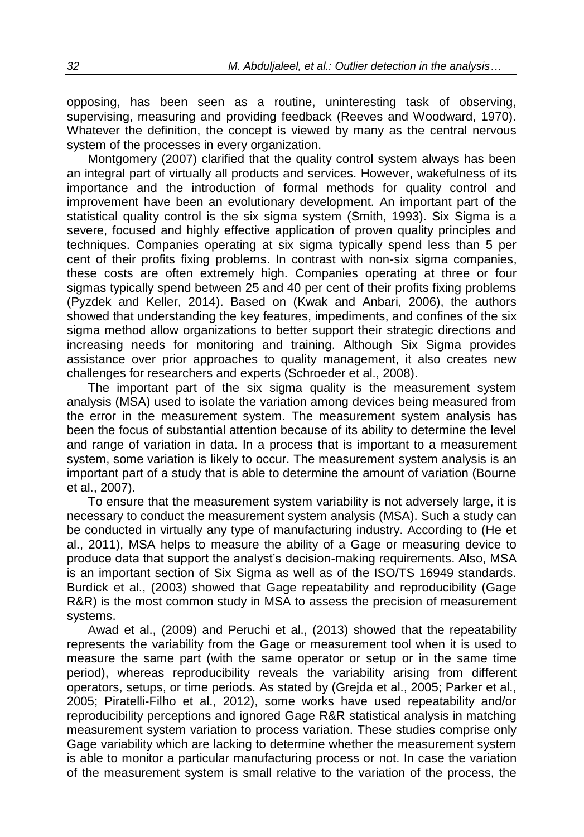opposing, has been seen as a routine, uninteresting task of observing, supervising, measuring and providing feedback (Reeves and Woodward, 1970). Whatever the definition, the concept is viewed by many as the central nervous system of the processes in every organization.

Montgomery (2007) clarified that the quality control system always has been an integral part of virtually all products and services. However, wakefulness of its importance and the introduction of formal methods for quality control and improvement have been an evolutionary development. An important part of the statistical quality control is the six sigma system (Smith, 1993). Six Sigma is a severe, focused and highly effective application of proven quality principles and techniques. Companies operating at six sigma typically spend less than 5 per cent of their profits fixing problems. In contrast with non-six sigma companies, these costs are often extremely high. Companies operating at three or four sigmas typically spend between 25 and 40 per cent of their profits fixing problems (Pyzdek and Keller, 2014). Based on (Kwak and Anbari, 2006), the authors showed that understanding the key features, impediments, and confines of the six sigma method allow organizations to better support their strategic directions and increasing needs for monitoring and training. Although Six Sigma provides assistance over prior approaches to quality management, it also creates new challenges for researchers and experts (Schroeder et al., 2008).

The important part of the six sigma quality is the measurement system analysis (MSA) used to isolate the variation among devices being measured from the error in the measurement system. The measurement system analysis has been the focus of substantial attention because of its ability to determine the level and range of variation in data. In a process that is important to a measurement system, some variation is likely to occur. The measurement system analysis is an important part of a study that is able to determine the amount of variation (Bourne et al., 2007).

To ensure that the measurement system variability is not adversely large, it is necessary to conduct the measurement system analysis (MSA). Such a study can be conducted in virtually any type of manufacturing industry. According to (He et al., 2011), MSA helps to measure the ability of a Gage or measuring device to produce data that support the analyst's decision-making requirements. Also, MSA is an important section of Six Sigma as well as of the ISO/TS 16949 standards. Burdick et al., (2003) showed that Gage repeatability and reproducibility (Gage R&R) is the most common study in MSA to assess the precision of measurement systems.

Awad et al., (2009) and Peruchi et al., (2013) showed that the repeatability represents the variability from the Gage or measurement tool when it is used to measure the same part (with the same operator or setup or in the same time period), whereas reproducibility reveals the variability arising from different operators, setups, or time periods. As stated by (Grejda et al., 2005; Parker et al., 2005; Piratelli-Filho et al., 2012), some works have used repeatability and/or reproducibility perceptions and ignored Gage R&R statistical analysis in matching measurement system variation to process variation. These studies comprise only Gage variability which are lacking to determine whether the measurement system is able to monitor a particular manufacturing process or not. In case the variation of the measurement system is small relative to the variation of the process, the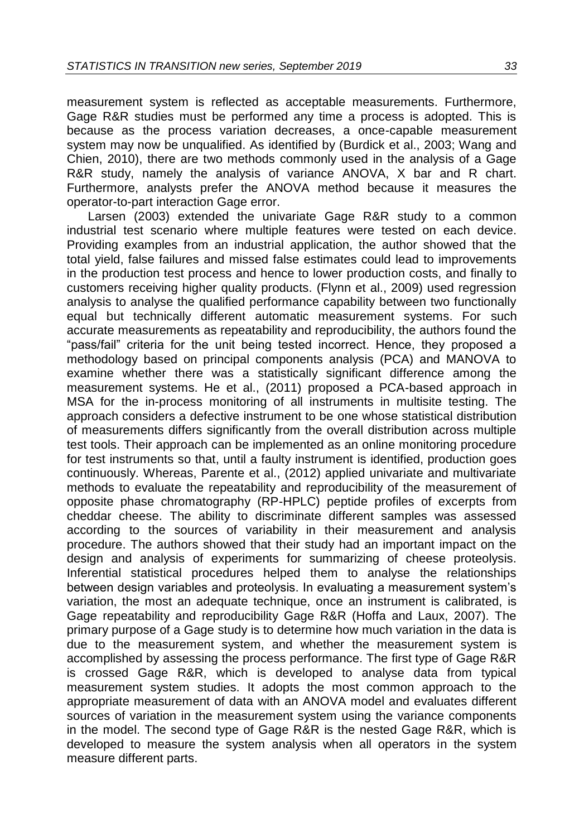measurement system is reflected as acceptable measurements. Furthermore, Gage R&R studies must be performed any time a process is adopted. This is because as the process variation decreases, a once-capable measurement system may now be unqualified. As identified by (Burdick et al., 2003; Wang and Chien, 2010), there are two methods commonly used in the analysis of a Gage R&R study, namely the analysis of variance ANOVA, X bar and R chart. Furthermore, analysts prefer the ANOVA method because it measures the operator-to-part interaction Gage error.

Larsen (2003) extended the univariate Gage R&R study to a common industrial test scenario where multiple features were tested on each device. Providing examples from an industrial application, the author showed that the total yield, false failures and missed false estimates could lead to improvements in the production test process and hence to lower production costs, and finally to customers receiving higher quality products. (Flynn et al., 2009) used regression analysis to analyse the qualified performance capability between two functionally equal but technically different automatic measurement systems. For such accurate measurements as repeatability and reproducibility, the authors found the "pass/fail" criteria for the unit being tested incorrect. Hence, they proposed a methodology based on principal components analysis (PCA) and MANOVA to examine whether there was a statistically significant difference among the measurement systems. He et al., (2011) proposed a PCA-based approach in MSA for the in-process monitoring of all instruments in multisite testing. The approach considers a defective instrument to be one whose statistical distribution of measurements differs significantly from the overall distribution across multiple test tools. Their approach can be implemented as an online monitoring procedure for test instruments so that, until a faulty instrument is identified, production goes continuously. Whereas, Parente et al., (2012) applied univariate and multivariate methods to evaluate the repeatability and reproducibility of the measurement of opposite phase chromatography (RP-HPLC) peptide profiles of excerpts from cheddar cheese. The ability to discriminate different samples was assessed according to the sources of variability in their measurement and analysis procedure. The authors showed that their study had an important impact on the design and analysis of experiments for summarizing of cheese proteolysis. Inferential statistical procedures helped them to analyse the relationships between design variables and proteolysis. In evaluating a measurement system's variation, the most an adequate technique, once an instrument is calibrated, is Gage repeatability and reproducibility Gage R&R (Hoffa and Laux, 2007). The primary purpose of a Gage study is to determine how much variation in the data is due to the measurement system, and whether the measurement system is accomplished by assessing the process performance. The first type of Gage R&R is crossed Gage R&R, which is developed to analyse data from typical measurement system studies. It adopts the most common approach to the appropriate measurement of data with an ANOVA model and evaluates different sources of variation in the measurement system using the variance components in the model. The second type of Gage R&R is the nested Gage R&R, which is developed to measure the system analysis when all operators in the system measure different parts.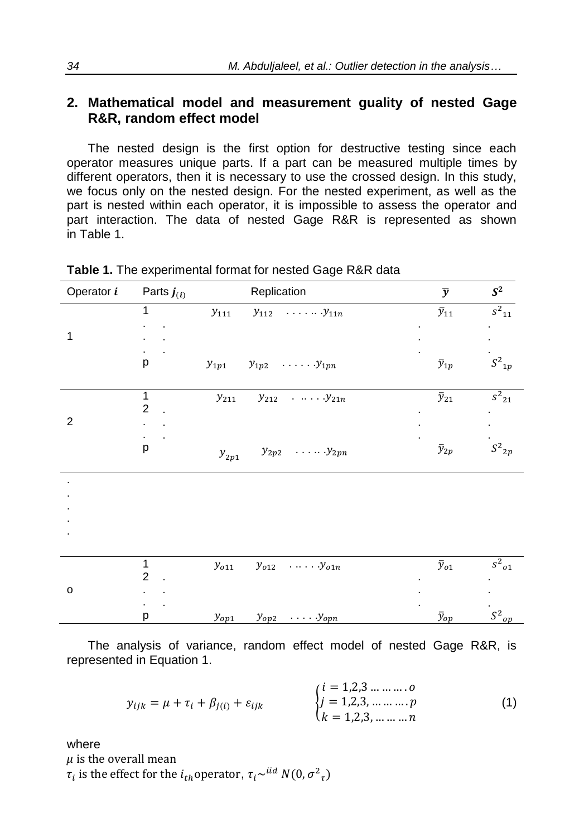### **2. Mathematical model and measurement guality of nested Gage R&R, random effect model**

The nested design is the first option for destructive testing since each operator measures unique parts. If a part can be measured multiple times by different operators, then it is necessary to use the crossed design. In this study, we focus only on the nested design. For the nested experiment, as well as the part is nested within each operator, it is impossible to assess the operator and part interaction. The data of nested Gage R&R is represented as shown in Table 1.

| Operator <i>i</i> | Parts $\boldsymbol{j}_{(i)}$ | Replication                                           | $\overline{y}$ | $S^2$                 |
|-------------------|------------------------------|-------------------------------------------------------|----------------|-----------------------|
|                   | 1                            | $\cdot$ $\mathcal{Y}_{11n}$<br>$y_{111}$<br>$y_{112}$ | $\bar{y}_{11}$ | $\overline{s^2}_{11}$ |
|                   |                              |                                                       |                |                       |
| $\mathbf{1}$      |                              |                                                       |                |                       |
|                   |                              |                                                       |                | $S^2{}_{1p}$          |
|                   | р                            | $y_{1p1}$<br>$y_{1p2} \dots y_{1pn}$                  | $\bar{y}_{1p}$ |                       |
|                   |                              |                                                       |                |                       |
|                   | $\mathbf{1}$                 | $y_{211}$<br>$y_{212}$<br>$\ldots$ , $y_{21n}$        | $\bar{y}_{21}$ | $s^2_{21}$            |
|                   | $\overline{c}$               |                                                       |                |                       |
| $\overline{c}$    |                              |                                                       |                |                       |
|                   |                              |                                                       |                |                       |
|                   | р                            | $y_{2p2} \dots y_{2pn}$<br>$\boldsymbol{y}_{2p1}$     | $\bar{y}_{2p}$ | $S^2{}_{2p}$          |
|                   |                              |                                                       |                |                       |
|                   |                              |                                                       |                |                       |
|                   |                              |                                                       |                |                       |
|                   |                              |                                                       |                |                       |
|                   |                              |                                                       |                |                       |
|                   |                              |                                                       |                |                       |
|                   | 1                            | $y_{o11}$<br>$y_{o12}$ $y_{o1n}$                      | $\bar{y}_{o1}$ | $s^2_{\phantom{2}01}$ |
|                   | $\overline{2}$               |                                                       |                |                       |
| $\mathsf{o}$      |                              |                                                       |                |                       |
|                   |                              |                                                       |                |                       |
|                   | р                            | $y_{op2}$ $y_{opn}$<br>$y_{op1}$                      | $\bar{y}_{op}$ | $S^2{}_{op}$          |

| Table 1. The experimental format for nested Gage R&R data |  |  |  |  |  |  |  |  |
|-----------------------------------------------------------|--|--|--|--|--|--|--|--|
|-----------------------------------------------------------|--|--|--|--|--|--|--|--|

The analysis of variance, random effect model of nested Gage R&R, is represented in Equation 1.

$$
y_{ijk} = \mu + \tau_i + \beta_{j(i)} + \varepsilon_{ijk} \qquad \begin{cases} i = 1,2,3 \dots \dots \dots 0 \\ j = 1,2,3, \dots \dots \dots p \\ k = 1,2,3, \dots \dots \dots n \end{cases} (1)
$$

where

 $\mu$  is the overall mean

 $\tau_i$  is the effect for the  $i_{th}$ operator,  $\tau_i \sim^{iid} N(0, \sigma^2_{\tau})$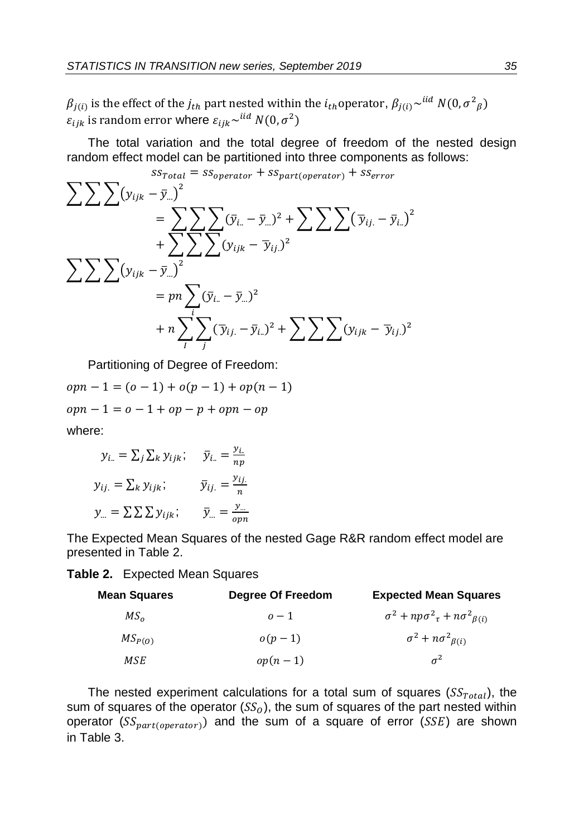$\beta_{j(i)}$  is the effect of the  $j_{th}$  part nested within the  $i_{th}$ operator,  $\beta_{j(i)}{\sim}^{iid}$   $N(0,\sigma^2_{\ \ \beta})$  $\varepsilon_{ijk}$  is random error where  $\varepsilon_{ijk} \sim^{iid} N(0, \sigma^2)$ 

The total variation and the total degree of freedom of the nested design random effect model can be partitioned into three components as follows:

$$
\sum \sum \sum (y_{ijk} - \overline{y}_{..})^2
$$
  
\n
$$
= \sum \sum \sum (y_{ijk} - \overline{y}_{..})^2
$$
  
\n
$$
= \sum \sum \sum (y_{i,k} - \overline{y}_{..})^2 + \sum \sum \sum \sum (\overline{y}_{ij} - \overline{y}_{i..})^2
$$
  
\n
$$
+ \sum \sum \sum (y_{ijk} - \overline{y}_{..})^2
$$
  
\n
$$
= pn \sum (y_{i,k} - \overline{y}_{..})^2
$$
  
\n
$$
+ n \sum \sum \sum (\overline{y}_{ij} - \overline{y}_{..})^2 + \sum \sum \sum (y_{ijk} - \overline{y}_{ij})^2
$$

Partitioning of Degree of Freedom:

 $oppn-1 = (o-1) + o(p-1) + op(n-1)$  $opn-1 = o - 1 + op - p + opn - op$ where:

$$
y_{i..} = \sum_{j} \sum_{k} y_{ijk}; \quad \bar{y}_{i..} = \frac{y_{i..}}{np}
$$

$$
y_{ij.} = \sum_{k} y_{ijk}; \quad \bar{y}_{ij.} = \frac{y_{ij.}}{n}
$$

$$
y_{...} = \sum_{k} \sum_{k} y_{ijk}; \quad \bar{y}_{...} = \frac{y_{...}}{opn}
$$

The Expected Mean Squares of the nested Gage R&R random effect model are presented in Table 2.

#### **Table 2.** Expected Mean Squares

| Mean Squares     | Degree Of Freedom | <b>Expected Mean Squares</b>                            |
|------------------|-------------------|---------------------------------------------------------|
| $MS_{\alpha}$    | $\sigma-1$        | $\sigma^2 + np \sigma^2_{\tau} + n \sigma^2_{\beta(i)}$ |
| $MS_{P(\Omega)}$ | $o(p-1)$          | $\sigma^2 + n \sigma^2_{\beta(i)}$                      |
| MSE              | $op(n-1)$         | $\sigma^2$                                              |

The nested experiment calculations for a total sum of squares ( $SS_{Total}$ ), the sum of squares of the operator ( $SS<sub>0</sub>$ ), the sum of squares of the part nested within operator ( $SS_{part(operator)}$ ) and the sum of a square of error ( $SSE$ ) are shown in Table 3.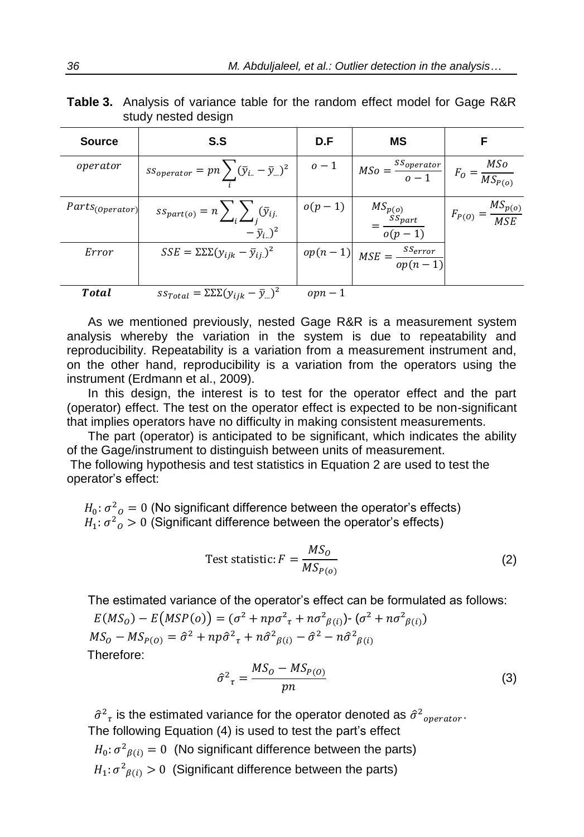**Table 3.** Analysis of variance table for the random effect model for Gage R&R study nested design

| <b>Source</b>        | S.S                                                                                   | D.F      | ΜS                                                                               | F                                  |
|----------------------|---------------------------------------------------------------------------------------|----------|----------------------------------------------------------------------------------|------------------------------------|
| operator             | $ss_{operator} = pn \sum (\bar{y}_{i} - \bar{y}_{})^2$                                | $0-1$    | $MSo = \frac{SS_{operator}}{o-1}$                                                | $F_O = \frac{MSo}{MS_{P(o)}}$      |
| $Parts_{(Operator)}$ | $ss_{part(o)} = n \sum_{i} \sum_{j} (\bar{y}_{ij})$<br>$-\bar{y}_{i.}$ ) <sup>2</sup> | $o(p-1)$ | $\begin{aligned} &MS_{p(o)}\\ &=\frac{SS_{part}}{o(p-1)} \end{aligned}$          | $F_{P(O)} = \frac{MS_{p(O)}}{MSE}$ |
| Error                | $SSE = \Sigma \Sigma (y_{ijk} - \bar{y}_{ij})^2$                                      |          | $\begin{array}{c} op(n-1) \\ \hline \end{array} MSE = \frac{s \cdot S}{op(n-1)}$ |                                    |
| Total                | $ss_{Total} = \Sigma \Sigma (y_{ijk} - \bar{y}_{})^2$                                 | $opn-1$  |                                                                                  |                                    |

As we mentioned previously, nested Gage R&R is a measurement system analysis whereby the variation in the system is due to repeatability and reproducibility. Repeatability is a variation from a measurement instrument and, on the other hand, reproducibility is a variation from the operators using the instrument (Erdmann et al., 2009).

In this design, the interest is to test for the operator effect and the part (operator) effect. The test on the operator effect is expected to be non-significant that implies operators have no difficulty in making consistent measurements.

The part (operator) is anticipated to be significant, which indicates the ability of the Gage/instrument to distinguish between units of measurement.

The following hypothesis and test statistics in Equation 2 are used to test the operator's effect:

 $H_0$ :  $\sigma^2{}_0=0$  (No significant difference between the operator's effects)  $H_1$ :  $\sigma^2{}_O > 0$  (Significant difference between the operator's effects)

Test statistic: 
$$
F = \frac{MS_o}{MS_{P(o)}}
$$
 (2)

The estimated variance of the operator's effect can be formulated as follows:

 $E(MS_0) - E(MSP(o)) = (\sigma^2 + np\sigma^2 + n\sigma^2_{\beta(i)}) \cdot (\sigma^2 + n\sigma^2_{\beta(i)})$  $MS_O - MS_{P(O)} = \hat{\sigma}^2 + np\hat{\sigma}^2_{\tau} + n\hat{\sigma}^2_{\beta(i)} - \hat{\sigma}^2 - n\hat{\sigma}^2_{\beta(i)}$ Therefore:

$$
\hat{\sigma}^2_{\tau} = \frac{MS_0 - MS_{P(O)}}{pn} \tag{3}
$$

 $\hat{\sigma}^2_{\tau}$  is the estimated variance for the operator denoted as  $\hat{\sigma}^2_{operator}$ . The following Equation (4) is used to test the part's effect  $H_0: \sigma^2_{\beta(i)} = 0$  (No significant difference between the parts)  $H_1: \sigma^2_{\beta(i)} > 0$  (Significant difference between the parts)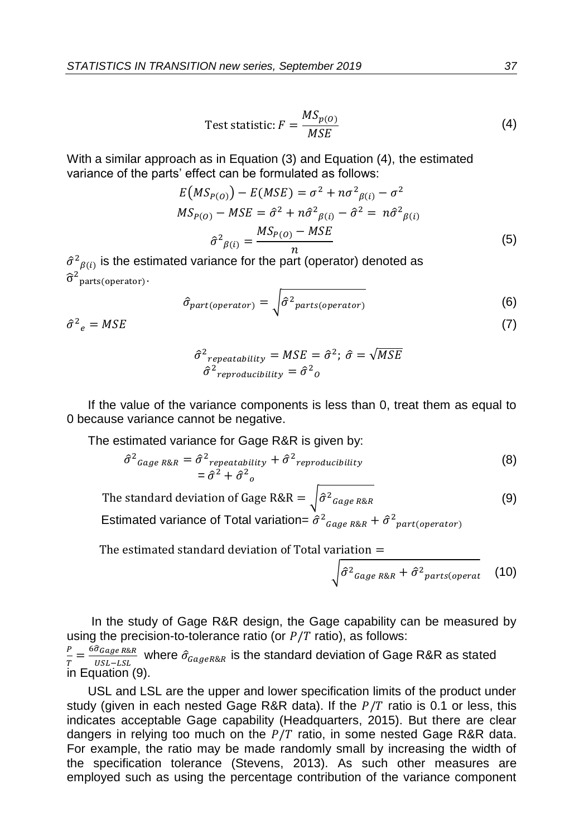Test statistic: 
$$
F = \frac{MS_{p(O)}}{MSE}
$$
 (4)

With a similar approach as in Equation (3) and Equation (4), the estimated variance of the parts' effect can be formulated as follows:

$$
E(MS_{P(O)}) - E(MSE) = \sigma^2 + n\sigma^2_{\beta(i)} - \sigma^2
$$
  
\n
$$
MS_{P(O)} - MSE = \hat{\sigma}^2 + n\hat{\sigma}^2_{\beta(i)} - \hat{\sigma}^2 = n\hat{\sigma}^2_{\beta(i)}
$$
  
\n
$$
\hat{\sigma}^2_{\beta(i)} = \frac{MS_{P(O)} - MSE}{n}
$$
\n(5)

 $\hat{\sigma}^2_{\beta(i)}$  is the estimated variance for the part (operator) denoted as  $\widehat{\sigma}^2$ parts(operator) $\cdot$ 

$$
\hat{\sigma}_{part(openator)} = \sqrt{\hat{\sigma}^2_{parts(openator)}}
$$
 (6)

 $\hat{\sigma}^2$ 

$$
\hat{\sigma}^2_{repeatedability} = MSE = \hat{\sigma}^2; \ \hat{\sigma} = \sqrt{MSE}
$$

$$
\hat{\sigma}^2_{reproduclibility} = \hat{\sigma}^2_{0}
$$

If the value of the variance components is less than 0, treat them as equal to 0 because variance cannot be negative.

The estimated variance for Gage R&R is given by:

$$
\hat{\sigma}^2_{Gage\ R\&R} = \hat{\sigma}^2_{repeatability} + \hat{\sigma}^2_{reproducibility}
$$
\n
$$
= \hat{\sigma}^2 + \hat{\sigma}^2_{o}
$$
\n(8)

(9) The standard deviation of Gage R&R =  $\int \!\!\hat{\sigma}^2_{\textit{Gage R\&R}}$ 

Estimated variance of Total variation=  $\hat{\sigma}^2$ <sub>Gage R&R</sub> +  $\hat{\sigma}^2$ <sub>part(operator)</sub>

The estimated standard deviation of Total variation  $=$ 

$$
\sqrt{\hat{\sigma}^2_{Gage\,R\&R} + \hat{\sigma}^2_{parts(openat} \quad (10)}
$$

In the study of Gage R&R design, the Gage capability can be measured by using the precision-to-tolerance ratio (or  $P/T$  ratio), as follows: P  $\frac{P}{T} = \frac{6\widehat{\sigma}_{Gage\,R\&R}}{USL-LSL}$  $\frac{\sigma_{Gage\,R\&R}}{\sigma_{SL-LSL}}$  where  $\hat{\sigma}_{Gage\,R\&R}$  is the standard deviation of Gage R&R as stated in Equation (9).

USL and LSL are the upper and lower specification limits of the product under study (given in each nested Gage R&R data). If the  $P/T$  ratio is 0.1 or less, this indicates acceptable Gage capability (Headquarters, 2015). But there are clear dangers in relying too much on the  $P/T$  ratio, in some nested Gage R&R data. For example, the ratio may be made randomly small by increasing the width of the specification tolerance (Stevens, 2013). As such other measures are employed such as using the percentage contribution of the variance component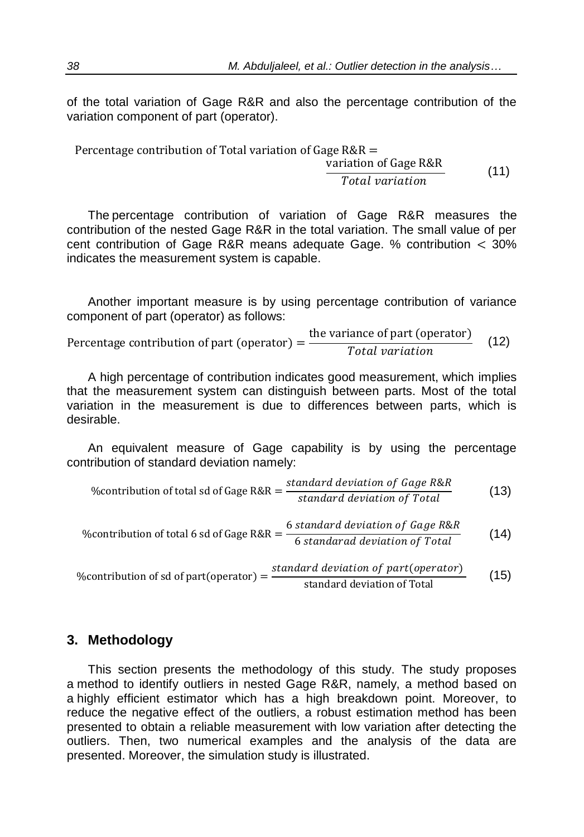of the total variation of Gage R&R and also the percentage contribution of the variation component of part (operator).

Percentage contribution of Total variation of Gage R&R = variation of Gage R&R Total variation (11)

The percentage contribution of variation of Gage R&R measures the contribution of the nested Gage R&R in the total variation. The small value of per cent contribution of Gage R&R means adequate Gage. % contribution < 30% indicates the measurement system is capable.

Another important measure is by using percentage contribution of variance component of part (operator) as follows:

Percentage contribution of part (operator) =  $\frac{\text{the variance of part (operator)}}{T_{total}}$ Total variation (12)

A high percentage of contribution indicates good measurement, which implies that the measurement system can distinguish between parts. Most of the total variation in the measurement is due to differences between parts, which is desirable.

An equivalent measure of Gage capability is by using the percentage contribution of standard deviation namely:

%contribution of total sd of Gage R&R = 
$$
\frac{\text{standard deviation of Gage R&R}}{\text{standard deviation of Total}}
$$
 (13)

%contribution of total 6 sd of Gage R&R = 
$$
\frac{6 \text{ standard deviation of Gage R&R}}{6 \text{ standard deviation of Total}}
$$
 (14)

% contribution of sd of part(operator)  $=$   $\frac{standard \ deviation \ of \ part(\ operator)}{standard \ deviation \ (T + t)}$ standard deviation of Total (15)

#### **3. Methodology**

This section presents the methodology of this study. The study proposes a method to identify outliers in nested Gage R&R, namely, a method based on a highly efficient estimator which has a high breakdown point. Moreover, to reduce the negative effect of the outliers, a robust estimation method has been presented to obtain a reliable measurement with low variation after detecting the outliers. Then, two numerical examples and the analysis of the data are presented. Moreover, the simulation study is illustrated.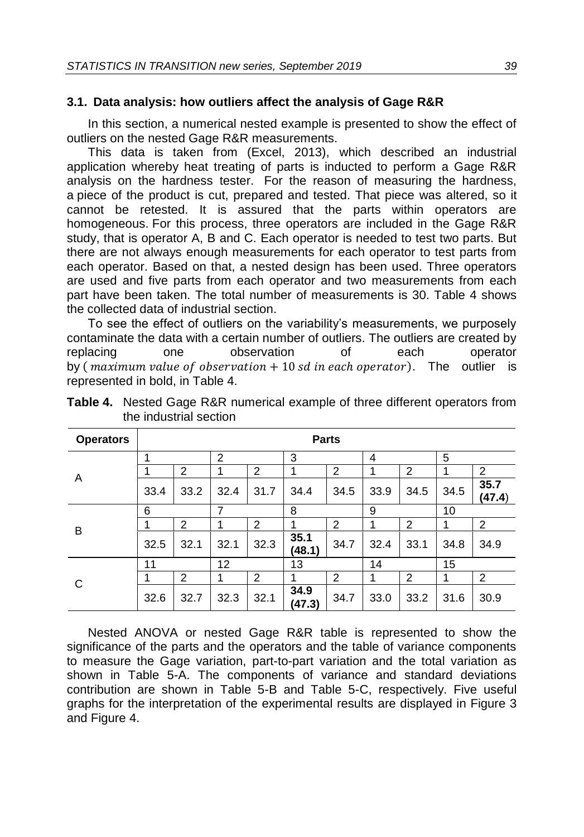#### **3.1. Data analysis: how outliers affect the analysis of Gage R&R**

In this section, a numerical nested example is presented to show the effect of outliers on the nested Gage R&R measurements.

This data is taken from (Excel, 2013), which described an industrial application whereby heat treating of parts is inducted to perform a Gage R&R analysis on the hardness tester. For the reason of measuring the hardness, a piece of the product is cut, prepared and tested. That piece was altered, so it cannot be retested. It is assured that the parts within operators are homogeneous. For this process, three operators are included in the Gage R&R study, that is operator A, B and C. Each operator is needed to test two parts. But there are not always enough measurements for each operator to test parts from each operator. Based on that, a nested design has been used. Three operators are used and five parts from each operator and two measurements from each part have been taken. The total number of measurements is 30. Table 4 shows the collected data of industrial section.

To see the effect of outliers on the variability's measurements, we purposely contaminate the data with a certain number of outliers. The outliers are created by replacing one observation of each operator by (*maximum value of observation*  $+10$  *sd in each operator*). The outlier is represented in bold, in Table 4.

| <b>Operators</b> |      | <b>Parts</b> |                |      |                |      |      |                |      |                |
|------------------|------|--------------|----------------|------|----------------|------|------|----------------|------|----------------|
|                  |      |              | $\overline{2}$ |      | 3              |      | 4    |                | 5    |                |
| A                |      | 2            |                | 2    | 1              | 2    | 1    | $\overline{2}$ |      | 2              |
|                  | 33.4 | 33.2         | 32.4           | 31.7 | 34.4           | 34.5 | 33.9 | 34.5           | 34.5 | 35.7<br>(47.4) |
|                  | 6    | 7            |                | 8    |                | 9    |      | 10             |      |                |
| B                |      | 2            |                | 2    |                | 2    | 1    | $\overline{2}$ |      | 2              |
|                  | 32.5 | 32.1         | 32.1           | 32.3 | 35.1<br>(48.1) | 34.7 | 32.4 | 33.1           | 34.8 | 34.9           |
|                  | 11   | 12           |                | 13   |                | 14   |      | 15             |      |                |
| C                |      | 2            |                | 2    |                | 2    | 1    | 2              |      | 2              |
|                  | 32.6 | 32.7         | 32.3           | 32.1 | 34.9<br>(47.3) | 34.7 | 33.0 | 33.2           | 31.6 | 30.9           |

**Table 4.** Nested Gage R&R numerical example of three different operators from the industrial section

Nested ANOVA or nested Gage R&R table is represented to show the significance of the parts and the operators and the table of variance components to measure the Gage variation, part-to-part variation and the total variation as shown in Table 5-A. The components of variance and standard deviations contribution are shown in Table 5-B and Table 5-C, respectively. Five useful graphs for the interpretation of the experimental results are displayed in Figure 3 and Figure 4.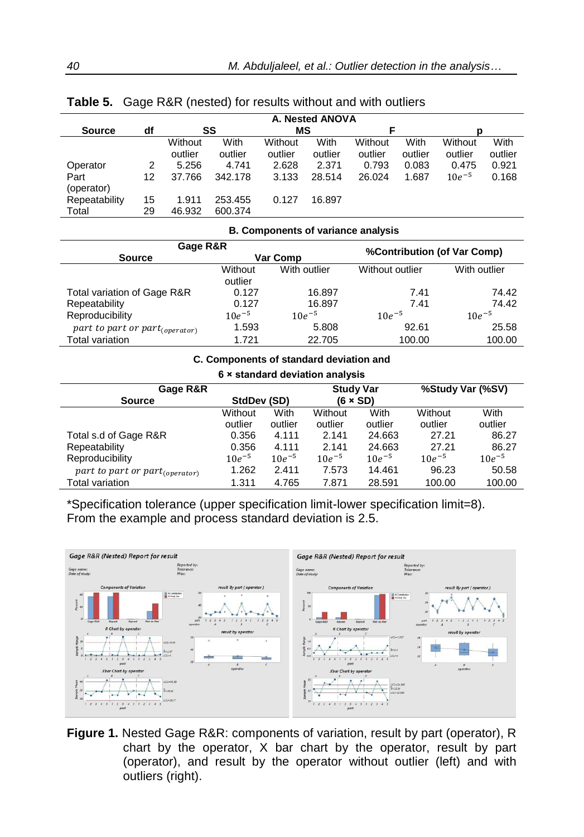|               |    |         |         |         | A. Nested ANOVA |         |         |            |         |
|---------------|----|---------|---------|---------|-----------------|---------|---------|------------|---------|
| <b>Source</b> | df |         | SS      | МS      |                 |         |         | n          |         |
|               |    | Without | With    | Without | With            | Without | With    | Without    | With    |
|               |    | outlier | outlier | outlier | outlier         | outlier | outlier | outlier    | outlier |
| Operator      | 2  | 5.256   | 4.741   | 2.628   | 2.371           | 0.793   | 0.083   | 0.475      | 0.921   |
| Part          | 12 | 37.766  | 342.178 | 3.133   | 28.514          | 26.024  | 1.687   | $10e^{-5}$ | 0.168   |
| (operator)    |    |         |         |         |                 |         |         |            |         |
| Repeatability | 15 | 1.911   | 253.455 | 0.127   | 16.897          |         |         |            |         |
| Total         | 29 | 46.932  | 600.374 |         |                 |         |         |            |         |

**Table 5.** Gage R&R (nested) for results without and with outliers

| <b>B. Components of variance analysis</b> |            |              |                                    |              |  |  |
|-------------------------------------------|------------|--------------|------------------------------------|--------------|--|--|
| Gage R&R                                  |            |              |                                    |              |  |  |
| <b>Source</b>                             |            | Var Comp     | <b>%Contribution (of Var Comp)</b> |              |  |  |
|                                           | Without    | With outlier | Without outlier                    | With outlier |  |  |
|                                           | outlier    |              |                                    |              |  |  |
| Total variation of Gage R&R               | 0.127      | 16.897       | 7.41                               | 74.42        |  |  |
| Repeatability                             | 0.127      | 16.897       | 7.41                               | 74.42        |  |  |
| Reproducibility                           | $10e^{-5}$ | $10e^{-5}$   | $10e^{-5}$                         | $10e^{-5}$   |  |  |
| part to part or part $_{(operator)}$      | 1.593      | 5.808        | 92.61                              | 25.58        |  |  |
| <b>Total variation</b>                    | 1.721      | 22.705       | 100.00                             | 100.00       |  |  |

#### **C. Components of standard deviation and**

#### **6 × standard deviation analysis**

| Gage R&R                                   | <b>Study Var</b> |            | %Study Var (%SV) |            |            |            |
|--------------------------------------------|------------------|------------|------------------|------------|------------|------------|
| <b>Source</b>                              | StdDev (SD)      |            | $(6 \times SD)$  |            |            |            |
|                                            | Without          | With       | Without          | With       | Without    | With       |
|                                            | outlier          | outlier    | outlier          | outlier    | outlier    | outlier    |
| Total s.d of Gage R&R                      | 0.356            | 4.111      | 2.141            | 24.663     | 27.21      | 86.27      |
| Repeatability                              | 0.356            | 4.111      | 2.141            | 24.663     | 27.21      | 86.27      |
| Reproducibility                            | $10e^{-5}$       | $10e^{-5}$ | $10e^{-5}$       | $10e^{-5}$ | $10e^{-5}$ | $10e^{-5}$ |
| part to part or part <sub>(operator)</sub> | 1.262            | 2.411      | 7.573            | 14.461     | 96.23      | 50.58      |
| Total variation                            | 1.311            | 4.765      | 7.871            | 28.591     | 100.00     | 100.00     |

\*Specification tolerance (upper specification limit-lower specification limit=8). From the example and process standard deviation is 2.5.



**Figure 1.** Nested Gage R&R: components of variation, result by part (operator), R chart by the operator, X bar chart by the operator, result by part (operator), and result by the operator without outlier (left) and with outliers (right).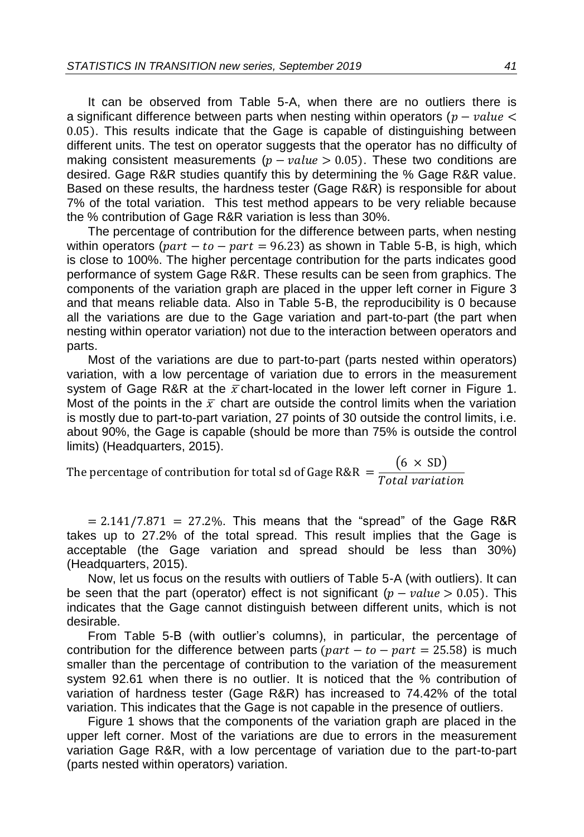It can be observed from Table 5-A, when there are no outliers there is a significant difference between parts when nesting within operators  $(p - value <$ 0.05). This results indicate that the Gage is capable of distinguishing between different units. The test on operator suggests that the operator has no difficulty of making consistent measurements  $(p - value > 0.05)$ . These two conditions are desired. Gage R&R studies quantify this by determining the % Gage R&R value. Based on these results, the hardness tester (Gage R&R) is responsible for about 7% of the total variation. This test method appears to be very reliable because the % contribution of Gage R&R variation is less than 30%.

The percentage of contribution for the difference between parts, when nesting within operators ( $part - to - part = 96.23$ ) as shown in Table 5-B, is high, which is close to 100%. The higher percentage contribution for the parts indicates good performance of system Gage R&R. These results can be seen from graphics. The components of the variation graph are placed in the upper left corner in Figure 3 and that means reliable data. Also in Table 5-B, the reproducibility is 0 because all the variations are due to the Gage variation and part-to-part (the part when nesting within operator variation) not due to the interaction between operators and parts.

Most of the variations are due to part-to-part (parts nested within operators) variation, with a low percentage of variation due to errors in the measurement system of Gage R&R at the  $\bar{x}$  chart-located in the lower left corner in Figure 1. Most of the points in the  $\bar{x}$  chart are outside the control limits when the variation is mostly due to part-to-part variation, 27 points of 30 outside the control limits, i.e. about 90%, the Gage is capable (should be more than 75% is outside the control limits) (Headquarters, 2015).

The percentage of contribution for total sd of Gage R&R  $=$   $\frac{(6 \times SD)}{T_{total}}$ Total variation

 $= 2.141/7.871 = 27.2\%$ . This means that the "spread" of the Gage R&R takes up to 27.2% of the total spread. This result implies that the Gage is acceptable (the Gage variation and spread should be less than 30%) (Headquarters, 2015).

Now, let us focus on the results with outliers of Table 5-A (with outliers). It can be seen that the part (operator) effect is not significant  $(p - value > 0.05)$ . This indicates that the Gage cannot distinguish between different units, which is not desirable.

From Table 5-B (with outlier's columns), in particular, the percentage of contribution for the difference between parts  $(part - to - part = 25.58)$  is much smaller than the percentage of contribution to the variation of the measurement system 92.61 when there is no outlier. It is noticed that the % contribution of variation of hardness tester (Gage R&R) has increased to 74.42% of the total variation. This indicates that the Gage is not capable in the presence of outliers.

Figure 1 shows that the components of the variation graph are placed in the upper left corner. Most of the variations are due to errors in the measurement variation Gage R&R, with a low percentage of variation due to the part-to-part (parts nested within operators) variation.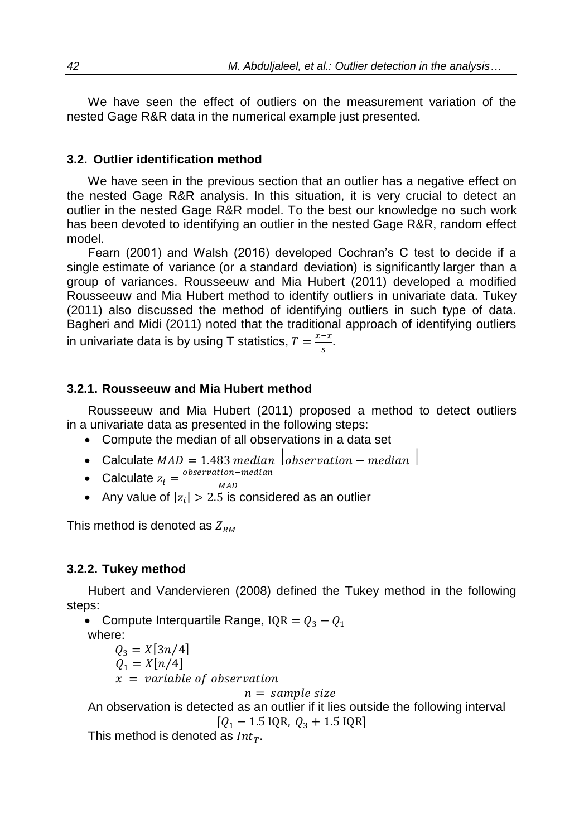We have seen the effect of outliers on the measurement variation of the nested Gage R&R data in the numerical example just presented.

#### **3.2. Outlier identification method**

We have seen in the previous section that an outlier has a negative effect on the nested Gage R&R analysis. In this situation, it is very crucial to detect an outlier in the nested Gage R&R model. To the best our knowledge no such work has been devoted to identifying an outlier in the nested Gage R&R, random effect model.

Fearn (2001) and Walsh (2016) developed Cochran's C test to decide if a single [estimate](https://en.wikipedia.org/wiki/Estimation_theory) of [variance](https://en.wikipedia.org/wiki/Variance) (or a [standard deviation\)](https://en.wikipedia.org/wiki/Standard_deviation) is [significantly](https://en.wikipedia.org/wiki/Statistical_significance) larger than a group of variances. Rousseeuw and Mia Hubert (2011) developed a modified Rousseeuw and Mia Hubert method to identify outliers in univariate data. Tukey (2011) also discussed the method of identifying outliers in such type of data. Bagheri and Midi (2011) noted that the traditional approach of identifying outliers in univariate data is by using T statistics,  $T = \frac{x - \bar{x}}{s}$ .  $\frac{-x}{s}$ .

#### **3.2.1. Rousseeuw and Mia Hubert method**

Rousseeuw and Mia Hubert (2011) proposed a method to detect outliers in a univariate data as presented in the following steps:

- Compute the median of all observations in a data set
- Calculate  $MAD = 1.483 \text{ median}$  observation median
- Calculate  $z_i = \frac{observation median}{MAP}$
- MAD • Any value of  $|z_i| > 2.5$  is considered as an outlier

This method is denoted as  $Z_{RM}$ 

### **3.2.2. Tukey method**

Hubert and Vandervieren (2008) defined the Tukey method in the following steps:

• Compute Interquartile Range, IQR =  $Q_3 - Q_1$ where:

$$
Q_3 = X[3n/4]
$$
  
Q<sub>1</sub> = X[n/4]  
x = variable of observation

 $n = sample size$ 

An observation is detected as an outlier if it lies outside the following interval  $[Q_1 - 1.5 \text{ IQR}, Q_3 + 1.5 \text{ IQR}]$ 

This method is denoted as  $Int_T$ .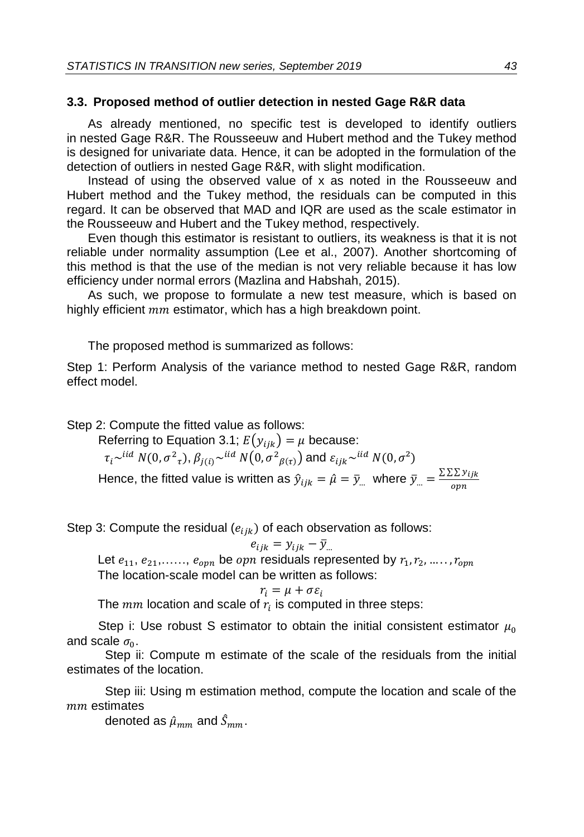### **3.3. Proposed method of outlier detection in nested Gage R&R data**

As already mentioned, no specific test is developed to identify outliers in nested Gage R&R. The Rousseeuw and Hubert method and the Tukey method is designed for univariate data. Hence, it can be adopted in the formulation of the detection of outliers in nested Gage R&R, with slight modification.

Instead of using the observed value of x as noted in the Rousseeuw and Hubert method and the Tukey method, the residuals can be computed in this regard. It can be observed that MAD and IQR are used as the scale estimator in the Rousseeuw and Hubert and the Tukey method, respectively.

Even though this estimator is resistant to outliers, its weakness is that it is not reliable under normality assumption (Lee et al., 2007). Another shortcoming of this method is that the use of the median is not very reliable because it has low efficiency under normal errors (Mazlina and Habshah, 2015).

As such, we propose to formulate a new test measure, which is based on highly efficient  $mm$  estimator, which has a high breakdown point.

The proposed method is summarized as follows:

Step 1: Perform Analysis of the variance method to nested Gage R&R, random effect model.

Step 2: Compute the fitted value as follows:

Referring to Equation 3.1;  $E(y_{ijk}) = \mu$  because:  $\tau_i$ ~ $^{iid}$   $N(0,\sigma^2{}_\tau),$   $\beta_{j(i)}$ ~ $^{iid}$   $N(0,\sigma^2{}_{\beta(\tau)})$  and  $\varepsilon_{ijk}$ ~ $^{iid}$   $N(0,\sigma^2)$ Hence, the fitted value is written as  $\hat{y}_{ijk} = \hat{\mu} = \bar{y}_{i}$  where  $\bar{y}_{i} = \frac{\sum \sum y_{ijk}}{2m}$ opn

Step 3: Compute the residual  $(e_{iik})$  of each observation as follows:

 $e_{ijk} = y_{ijk} - \bar{y}_{...}$ 

Let  $e_{11}, e_{21}, \ldots, e_{oppn}$  be  $oppn$  residuals represented by  $r_1, r_2, \ldots, r_{oppn}$ The location-scale model can be written as follows:

$$
r_i = \mu + \sigma \varepsilon_i
$$

The  $mm$  location and scale of  $r_i$  is computed in three steps:

Step i: Use robust S estimator to obtain the initial consistent estimator  $\mu_0$ and scale  $\sigma_0$ .

 Step ii: Compute m estimate of the scale of the residuals from the initial estimates of the location.

 Step iii: Using m estimation method, compute the location and scale of the  $mm$  estimates

denoted as  $\hat{\mu}_{mm}$  and  $\hat{S}_{mm}$ .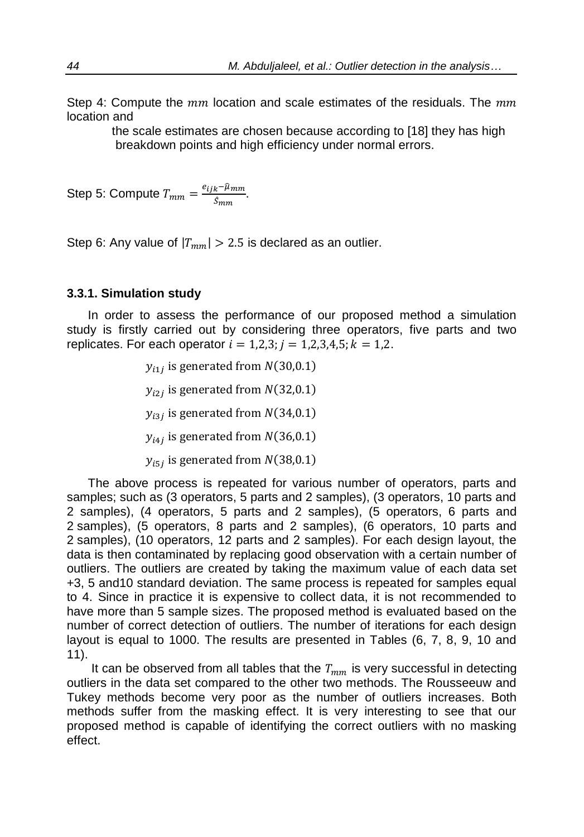Step 4: Compute the  $mm$  location and scale estimates of the residuals. The  $mm$ location and

> the scale estimates are chosen because according to [18] they has high breakdown points and high efficiency under normal errors.

Step 5: Compute  $T_{mm} = \frac{e_{ijk} - \hat{\mu}_{mm}}{\hat{\epsilon}_{mm}}$ <u>k rmm</u>.<br>Ŝmm

Step 6: Any value of  $|T_{mm}| > 2.5$  is declared as an outlier.

#### **3.3.1. Simulation study**

In order to assess the performance of our proposed method a simulation study is firstly carried out by considering three operators, five parts and two replicates. For each operator  $i = 1,2,3; j = 1,2,3,4,5; k = 1,2.$ 

 $y_{i1j}$  is generated from  $N(30,0.1)$ 

 $y_{i2j}$  is generated from  $N(32,0.1)$ 

- $y_{i3j}$  is generated from  $N(34,0.1)$
- $y_{i4j}$  is generated from  $N(36,0.1)$
- $y_{i5j}$  is generated from  $N(38,0.1)$

The above process is repeated for various number of operators, parts and samples; such as (3 operators, 5 parts and 2 samples), (3 operators, 10 parts and 2 samples), (4 operators, 5 parts and 2 samples), (5 operators, 6 parts and 2 samples), (5 operators, 8 parts and 2 samples), (6 operators, 10 parts and 2 samples), (10 operators, 12 parts and 2 samples). For each design layout, the data is then contaminated by replacing good observation with a certain number of outliers. The outliers are created by taking the maximum value of each data set +3, 5 and10 standard deviation. The same process is repeated for samples equal to 4. Since in practice it is expensive to collect data, it is not recommended to have more than 5 sample sizes. The proposed method is evaluated based on the number of correct detection of outliers. The number of iterations for each design layout is equal to 1000. The results are presented in Tables (6, 7, 8, 9, 10 and 11).

It can be observed from all tables that the  $T_{mm}$  is very successful in detecting outliers in the data set compared to the other two methods. The Rousseeuw and Tukey methods become very poor as the number of outliers increases. Both methods suffer from the masking effect. It is very interesting to see that our proposed method is capable of identifying the correct outliers with no masking effect.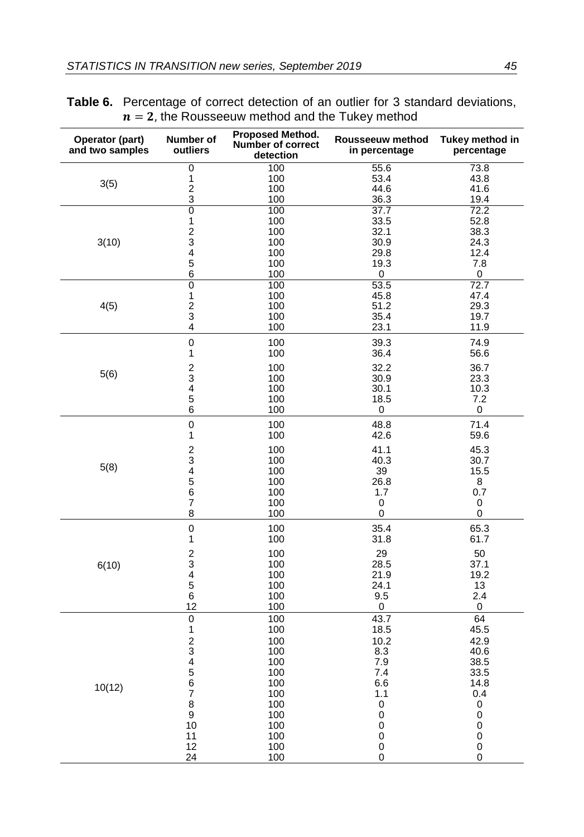| Operator (part)<br>and two samples | Number of<br>outliers        | Proposed Method.<br><b>Number of correct</b><br>detection | Rousseeuw method<br>in percentage | Tukey method in<br>percentage |
|------------------------------------|------------------------------|-----------------------------------------------------------|-----------------------------------|-------------------------------|
|                                    | $\overline{0}$               | 100                                                       | 55.6                              | 73.8                          |
| 3(5)                               | 1                            | 100<br>100                                                | 53.4<br>44.6                      | 43.8<br>41.6                  |
|                                    | $\overline{\mathbf{c}}$<br>3 | 100                                                       | 36.3                              | 19.4                          |
|                                    | $\overline{0}$               | 100                                                       | $\overline{37.7}$                 | 72.2                          |
|                                    | 1                            | 100                                                       | 33.5                              | 52.8                          |
|                                    | $\overline{c}$               | 100                                                       | 32.1                              | 38.3                          |
| 3(10)                              | 3<br>4                       | 100                                                       | 30.9                              | 24.3<br>12.4                  |
|                                    | 5                            | 100<br>100                                                | 29.8<br>19.3                      | 7.8                           |
|                                    | 6                            | 100                                                       | 0                                 | 0                             |
|                                    | $\overline{0}$               | 100                                                       | 53.5                              | 72.7                          |
|                                    | 1                            | 100                                                       | 45.8                              | 47.4                          |
| 4(5)                               | $\overline{c}$               | 100                                                       | 51.2                              | 29.3                          |
|                                    | 3<br>4                       | 100<br>100                                                | 35.4<br>23.1                      | 19.7<br>11.9                  |
|                                    |                              |                                                           |                                   |                               |
|                                    | $\overline{0}$               | 100                                                       | 39.3                              | 74.9                          |
|                                    | 1                            | 100                                                       | 36.4                              | 56.6                          |
| 5(6)                               | $\overline{c}$               | 100                                                       | 32.2                              | 36.7                          |
|                                    | 3<br>4                       | 100<br>100                                                | 30.9<br>30.1                      | 23.3<br>10.3                  |
|                                    | 5                            | 100                                                       | 18.5                              | 7.2                           |
|                                    | 6                            | 100                                                       | 0                                 | 0                             |
|                                    | $\mathbf 0$                  | 100                                                       | 48.8                              | 71.4                          |
|                                    | 1                            | 100                                                       | 42.6                              | 59.6                          |
|                                    | $\overline{c}$               | 100                                                       | 41.1                              | 45.3                          |
|                                    | 3                            | 100                                                       | 40.3                              | 30.7                          |
| 5(8)                               | 4                            | 100                                                       | 39                                | 15.5                          |
|                                    | 5                            | 100                                                       | 26.8                              | 8                             |
|                                    | 6                            | 100                                                       | 1.7                               | 0.7                           |
|                                    | 7<br>8                       | 100<br>100                                                | 0<br>0                            | 0<br>0                        |
|                                    |                              |                                                           |                                   |                               |
|                                    | $\pmb{0}$<br>1               | 100<br>100                                                | 35.4<br>31.8                      | 65.3<br>61.7                  |
|                                    |                              |                                                           |                                   |                               |
|                                    | $\overline{c}$<br>$\bar{3}$  | 100<br>100                                                | 29<br>28.5                        | 50<br>37.1                    |
| 6(10)                              | 4                            | 100                                                       | 21.9                              | 19.2                          |
|                                    | $\overline{5}$               | 100                                                       | 24.1                              | 13                            |
|                                    | 6                            | 100                                                       | 9.5                               | 2.4                           |
|                                    | 12                           | 100                                                       | 0                                 | $\mathbf 0$                   |
|                                    | $\mathbf 0$                  | 100                                                       | 43.7                              | 64                            |
|                                    | 1                            | 100                                                       | 18.5                              | 45.5                          |
|                                    | $\overline{\mathbf{c}}$<br>3 | 100<br>100                                                | 10.2<br>8.3                       | 42.9<br>40.6                  |
|                                    | 4                            | 100                                                       | 7.9                               | 38.5                          |
|                                    | 5                            | 100                                                       | 7.4                               | 33.5                          |
| 10(12)                             | 6                            | 100                                                       | 6.6                               | 14.8                          |
|                                    | 7                            | 100                                                       | 1.1                               | 0.4                           |
|                                    | 8                            | 100                                                       | 0                                 | 0                             |
|                                    | 9<br>10                      | 100<br>100                                                | 0<br>0                            | 0<br>0                        |
|                                    | 11                           | 100                                                       | 0                                 | 0                             |
|                                    | 12                           | 100                                                       | 0                                 | 0                             |
|                                    | 24                           | 100                                                       | 0                                 | 0                             |

| <b>Table 6.</b> Percentage of correct detection of an outlier for 3 standard deviations, |
|------------------------------------------------------------------------------------------|
| $n = 2$ , the Rousseeuw method and the Tukey method                                      |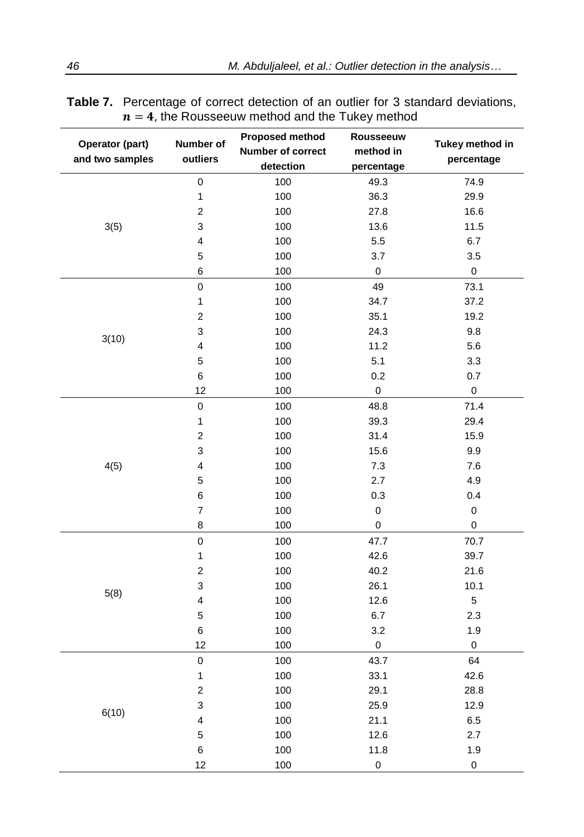| Operator (part)<br>and two samples | Number of<br>outliers   | <b>Proposed method</b><br>Number of correct<br>detection | Rousseeuw<br>method in<br>percentage | Tukey method in<br>percentage |
|------------------------------------|-------------------------|----------------------------------------------------------|--------------------------------------|-------------------------------|
|                                    | $\pmb{0}$               | 100                                                      | 49.3                                 | 74.9                          |
|                                    | 1                       | 100                                                      | 36.3                                 | 29.9                          |
|                                    | $\overline{c}$          | 100                                                      | 27.8                                 | 16.6                          |
| 3(5)                               | 3                       | 100                                                      | 13.6                                 | 11.5                          |
|                                    | 4                       | 100                                                      | 5.5                                  | 6.7                           |
|                                    | 5                       | 100                                                      | 3.7                                  | 3.5                           |
|                                    | 6                       | 100                                                      | 0                                    | 0                             |
|                                    | 0                       | 100                                                      | 49                                   | 73.1                          |
|                                    | 1                       | 100                                                      | 34.7                                 | 37.2                          |
|                                    | 2                       | 100                                                      | 35.1                                 | 19.2                          |
|                                    | 3                       | 100                                                      | 24.3                                 | 9.8                           |
| 3(10)                              | 4                       | 100                                                      | 11.2                                 | 5.6                           |
|                                    | 5                       | 100                                                      | 5.1                                  | 3.3                           |
|                                    | 6                       | 100                                                      | $0.2\,$                              | 0.7                           |
|                                    | 12                      | 100                                                      | 0                                    | $\mathsf{O}\xspace$           |
|                                    | 0                       | 100                                                      | 48.8                                 | 71.4                          |
|                                    | $\mathbf 1$             | 100                                                      | 39.3                                 | 29.4                          |
|                                    | 2                       | 100                                                      | 31.4                                 | 15.9                          |
|                                    | 3                       | 100                                                      | 15.6                                 | 9.9                           |
| 4(5)                               | 4                       | 100                                                      | 7.3                                  | 7.6                           |
|                                    | 5                       | 100                                                      | 2.7                                  | 4.9                           |
|                                    | 6                       | 100                                                      | 0.3                                  | 0.4                           |
|                                    | $\overline{7}$          | 100                                                      | 0                                    | $\mathsf{O}\xspace$           |
|                                    | 8                       | 100                                                      | 0                                    | 0                             |
|                                    | $\pmb{0}$               | 100                                                      | 47.7                                 | 70.7                          |
|                                    | $\mathbf 1$             | 100                                                      | 42.6                                 | 39.7                          |
|                                    | $\overline{\mathbf{c}}$ | 100                                                      | 40.2                                 | 21.6                          |
| 5(8)                               | 3                       | 100                                                      | 26.1                                 | 10.1                          |
|                                    | 4                       | 100                                                      | 12.6                                 | 5                             |
|                                    | 5                       | 100                                                      | 6.7                                  | 2.3                           |
|                                    | 6                       | 100                                                      | 3.2                                  | 1.9                           |
|                                    | 12                      | 100                                                      | $\pmb{0}$                            | 0                             |
|                                    | $\mathsf 0$             | 100                                                      | 43.7                                 | 64                            |
|                                    | 1                       | 100                                                      | 33.1                                 | 42.6                          |
|                                    | $\overline{c}$          | 100                                                      | 29.1                                 | 28.8                          |
|                                    | 3                       | 100                                                      | 25.9                                 | 12.9                          |
| 6(10)                              | 4                       | 100                                                      | 21.1                                 | $6.5\,$                       |
|                                    | 5                       | 100                                                      | 12.6                                 | 2.7                           |
|                                    | 6                       | 100                                                      | 11.8                                 | 1.9                           |
|                                    | 12                      | 100                                                      | $\mathbf 0$                          | $\pmb{0}$                     |

| <b>Table 7.</b> Percentage of correct detection of an outlier for 3 standard deviations, |
|------------------------------------------------------------------------------------------|
| $n = 4$ , the Rousseeuw method and the Tukey method                                      |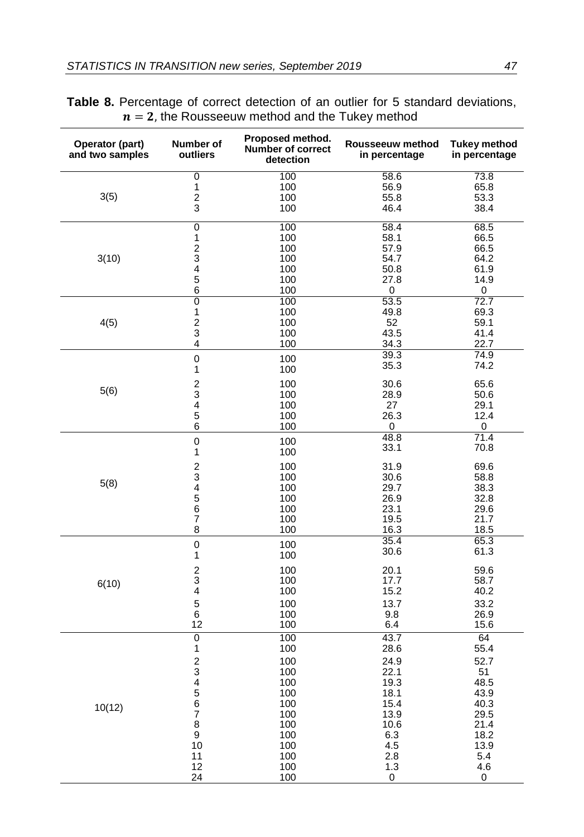| Operator (part)<br>and two samples | Number of<br>outliers                      | Proposed method.<br><b>Number of correct</b><br>detection | Rousseeuw method<br>in percentage | <b>Tukey method</b><br>in percentage |
|------------------------------------|--------------------------------------------|-----------------------------------------------------------|-----------------------------------|--------------------------------------|
|                                    | $\overline{0}$                             | 100                                                       | 58.6                              | 73.8                                 |
|                                    | 1                                          | 100                                                       | 56.9                              | 65.8                                 |
| 3(5)                               | $\overline{c}$                             | 100                                                       | 55.8                              | 53.3                                 |
|                                    | 3                                          | 100                                                       | 46.4                              | 38.4                                 |
|                                    | $\overline{0}$                             | 100                                                       | 58.4                              | 68.5                                 |
|                                    | 1                                          | 100<br>100                                                | 58.1                              | 66.5                                 |
| 3(10)                              |                                            | 100                                                       | 57.9<br>54.7                      | 66.5<br>64.2                         |
|                                    | $\begin{array}{c} 2 \\ 3 \\ 4 \end{array}$ | 100                                                       | 50.8                              | 61.9                                 |
|                                    | 5                                          | 100                                                       | 27.8                              | 14.9                                 |
|                                    | 6                                          | 100                                                       | 0                                 | 0                                    |
|                                    | $\overline{0}$                             | 100                                                       | 53.5                              | 72.7                                 |
|                                    | 1                                          | 100                                                       | 49.8                              | 69.3                                 |
| 4(5)                               | $\overline{c}$<br>3                        | 100<br>100                                                | 52<br>43.5                        | 59.1<br>41.4                         |
|                                    | 4                                          | 100                                                       | 34.3                              | 22.7                                 |
|                                    |                                            |                                                           | 39.3                              | 74.9                                 |
|                                    | $\mathbf 0$<br>1                           | 100<br>100                                                | 35.3                              | 74.2                                 |
|                                    | $\overline{\mathbf{c}}$                    | 100                                                       | 30.6                              | 65.6                                 |
| 5(6)                               | 3                                          | 100                                                       | 28.9                              | 50.6                                 |
|                                    | 4                                          | 100                                                       | 27                                | 29.1                                 |
|                                    | $\mathbf 5$                                | 100                                                       | 26.3                              | 12.4                                 |
|                                    | $\overline{6}$                             | 100                                                       | 0<br>48.8                         | 0<br>71.4                            |
|                                    | $\mathbf 0$<br>1                           | 100<br>100                                                | 33.1                              | 70.8                                 |
|                                    |                                            | 100                                                       | 31.9                              | 69.6                                 |
|                                    | $\begin{array}{c} 2 \\ 3 \\ 4 \end{array}$ | 100                                                       | 30.6                              | 58.8                                 |
| 5(8)                               |                                            | 100                                                       | 29.7                              | 38.3                                 |
|                                    | 5                                          | 100                                                       | 26.9                              | 32.8                                 |
|                                    | 6<br>$\overline{7}$                        | 100                                                       | 23.1                              | 29.6                                 |
|                                    | 8                                          | 100<br>100                                                | 19.5<br>16.3                      | 21.7<br>18.5                         |
|                                    |                                            |                                                           | 35.4                              | 65.3                                 |
|                                    | $\pmb{0}$<br>1                             | 100<br>100                                                | 30.6                              | 61.3                                 |
|                                    | $\boldsymbol{2}$                           | 100                                                       | 20.1                              | 59.6                                 |
| 6(10)                              | 3                                          | 100                                                       | 17.7                              | 58.7                                 |
|                                    | 4                                          | 100                                                       | 15.2                              | 40.2                                 |
|                                    | $\sqrt{5}$                                 | 100                                                       | 13.7                              | 33.2                                 |
|                                    | $\,6$<br>12                                | 100<br>100                                                | 9.8<br>6.4                        | 26.9<br>15.6                         |
|                                    | $\overline{0}$                             | 100                                                       | 43.7                              | 64                                   |
|                                    | 1                                          | 100                                                       | 28.6                              | 55.4                                 |
|                                    | $\overline{c}$                             | 100                                                       | 24.9                              | 52.7                                 |
|                                    | 3                                          | 100                                                       | 22.1                              | 51                                   |
|                                    | 4<br>5                                     | 100                                                       | 19.3                              | 48.5                                 |
|                                    | $\overline{6}$                             | 100<br>100                                                | 18.1<br>15.4                      | 43.9<br>40.3                         |
| 10(12)                             | $\overline{\mathcal{I}}$                   | 100                                                       | 13.9                              | 29.5                                 |
|                                    | 8                                          | 100                                                       | 10.6                              | 21.4                                 |
|                                    | $\overline{9}$                             | 100                                                       | 6.3                               | 18.2                                 |
|                                    | 10                                         | 100                                                       | 4.5                               | 13.9                                 |
|                                    | 11<br>12                                   | 100<br>100                                                | 2.8<br>$1.3$                      | 5.4<br>4.6                           |
|                                    | 24                                         | 100                                                       | 0                                 | 0                                    |

## **Table 8.** Percentage of correct detection of an outlier for 5 standard deviations,  $n = 2$ , the Rousseeuw method and the Tukey method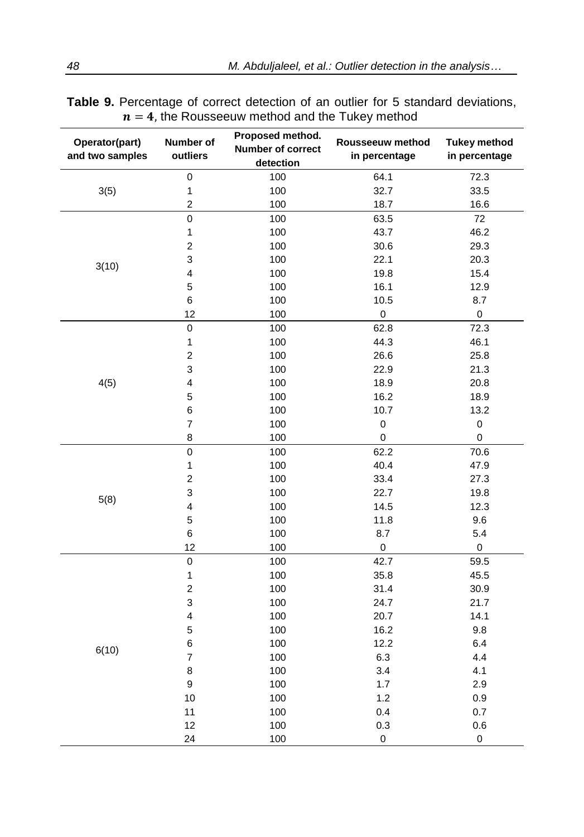| Operator(part)<br>and two samples | Number of<br>outliers   | Proposed method.<br><b>Number of correct</b><br>detection | Rousseeuw method<br>in percentage | <b>Tukey method</b><br>in percentage |  |
|-----------------------------------|-------------------------|-----------------------------------------------------------|-----------------------------------|--------------------------------------|--|
|                                   | $\mathbf 0$             | 100                                                       | 64.1                              | 72.3                                 |  |
| 3(5)                              | $\mathbf{1}$            | 100                                                       | 32.7                              | 33.5                                 |  |
|                                   | $\overline{c}$          | 100                                                       | 18.7                              | 16.6                                 |  |
|                                   | $\overline{0}$          | 100                                                       | 63.5                              | 72                                   |  |
|                                   | $\mathbf{1}$            | 100                                                       | 43.7                              | 46.2                                 |  |
|                                   | $\overline{c}$          | 100                                                       | 30.6                              | 29.3                                 |  |
|                                   | 3                       | 100                                                       | 22.1                              | 20.3                                 |  |
| 3(10)                             | 4                       | 100                                                       | 19.8                              | 15.4                                 |  |
|                                   | 5                       | 100                                                       | 16.1                              | 12.9                                 |  |
|                                   | $\,6$                   | 100                                                       | 10.5                              | 8.7                                  |  |
|                                   | 12                      | 100                                                       | $\mathbf 0$                       | $\mathsf 0$                          |  |
|                                   | $\pmb{0}$               | 100                                                       | 62.8                              | 72.3                                 |  |
|                                   | $\mathbf{1}$            | 100                                                       | 44.3                              | 46.1                                 |  |
|                                   | $\overline{c}$          | 100                                                       | 26.6                              | 25.8                                 |  |
|                                   | 3                       | 100                                                       | 22.9                              | 21.3                                 |  |
| 4(5)                              | $\overline{\mathbf{4}}$ | 100                                                       | 18.9                              | 20.8                                 |  |
|                                   | 5                       | 100                                                       | 16.2                              | 18.9                                 |  |
|                                   | 6                       | 100                                                       | 10.7                              | 13.2                                 |  |
|                                   | 7                       | 100                                                       | 0                                 | $\mathsf 0$                          |  |
|                                   | 8                       | 100                                                       | 0                                 | $\pmb{0}$                            |  |
|                                   | $\mathbf 0$             | 100                                                       | 62.2                              | 70.6                                 |  |
|                                   | $\mathbf{1}$            | 100                                                       | 40.4                              | 47.9                                 |  |
|                                   | $\overline{\mathbf{c}}$ | 100                                                       | 33.4                              | 27.3                                 |  |
| 5(8)                              | 3                       | 100                                                       | 22.7                              | 19.8                                 |  |
|                                   | 4                       | 100                                                       | 14.5                              | 12.3                                 |  |
|                                   | 5                       | 100                                                       | 11.8                              | 9.6                                  |  |
|                                   | 6                       | 100                                                       | 8.7                               | 5.4                                  |  |
|                                   | 12                      | 100                                                       | $\mathsf 0$                       | $\mathsf 0$                          |  |
|                                   | $\overline{0}$          | 100                                                       | 42.7                              | 59.5                                 |  |
|                                   | $\mathbf{1}$            | 100                                                       | 35.8                              | 45.5                                 |  |
|                                   | $\overline{c}$          | 100                                                       | 31.4                              | 30.9                                 |  |
|                                   | 3                       | 100                                                       | 24.7                              | 21.7                                 |  |
|                                   | 4                       | 100                                                       | 20.7                              | 14.1                                 |  |
|                                   | 5                       | 100                                                       | 16.2                              | 9.8                                  |  |
| 6(10)                             | 6                       | 100                                                       | 12.2                              | 6.4                                  |  |
|                                   | 7                       | 100                                                       | 6.3                               | 4.4                                  |  |
|                                   | 8                       | 100                                                       | 3.4                               | 4.1                                  |  |
|                                   | 9                       | 100                                                       | 1.7                               | 2.9                                  |  |
|                                   | 10                      | 100                                                       | 1.2                               | 0.9                                  |  |
|                                   | 11                      | 100                                                       | 0.4                               | 0.7                                  |  |
|                                   | 12                      | 100                                                       | 0.3                               | 0.6                                  |  |
|                                   | 24                      | 100                                                       | 0                                 | 0                                    |  |

**Table 9.** Percentage of correct detection of an outlier for 5 standard deviations,  $n = 4$ , the Rousseeuw method and the Tukey method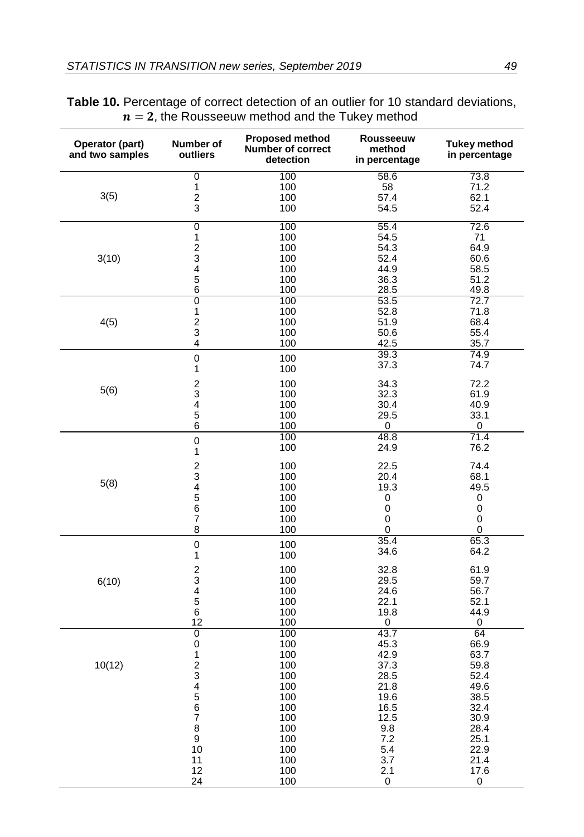| Operator (part)<br>and two samples | Number of<br>outliers        | <b>Proposed method</b><br>Number of correct<br>detection | <b>Rousseeuw</b><br>method<br>in percentage | <b>Tukey method</b><br>in percentage |
|------------------------------------|------------------------------|----------------------------------------------------------|---------------------------------------------|--------------------------------------|
|                                    | 0                            | 100                                                      | 58.6                                        | 73.8                                 |
|                                    | 1                            | 100                                                      | 58                                          | 71.2                                 |
| 3(5)                               | $\overline{\mathbf{c}}$      | 100                                                      | 57.4                                        | 62.1                                 |
|                                    | 3                            | 100                                                      | 54.5                                        | 52.4                                 |
|                                    | $\overline{0}$               | 100                                                      | 55.4                                        | 72.6                                 |
|                                    | $\mathbf{1}$                 | 100                                                      | 54.5                                        | 71                                   |
|                                    | $\overline{\mathbf{c}}$      | 100                                                      | 54.3                                        | 64.9                                 |
| 3(10)                              | 3<br>$\overline{\mathbf{4}}$ | 100                                                      | 52.4                                        | 60.6<br>58.5                         |
|                                    | 5                            | 100<br>100                                               | 44.9<br>36.3                                | 51.2                                 |
|                                    | $\overline{6}$               | 100                                                      | 28.5                                        | 49.8                                 |
|                                    | $\overline{0}$               | 100                                                      | 53.5                                        | 72.7                                 |
|                                    | $\mathbf 1$                  | 100                                                      | 52.8                                        | 71.8                                 |
| 4(5)                               | $\frac{2}{3}$                | 100                                                      | 51.9                                        | 68.4                                 |
|                                    |                              | 100                                                      | 50.6                                        | 55.4                                 |
|                                    | $\overline{\mathbf{4}}$      | 100                                                      | 42.5                                        | 35.7                                 |
|                                    | $\mathbf 0$                  | 100                                                      | 39.3                                        | 74.9                                 |
|                                    | $\mathbf{1}$                 | 100                                                      | 37.3                                        | 74.7                                 |
|                                    | $\frac{2}{3}$                | 100                                                      | 34.3                                        | 72.2                                 |
| 5(6)                               |                              | 100                                                      | 32.3                                        | 61.9                                 |
|                                    | $\overline{\mathbf{4}}$      | 100                                                      | 30.4                                        | 40.9                                 |
|                                    | 5                            | 100                                                      | 29.5                                        | 33.1                                 |
|                                    | 6                            | 100                                                      | 0<br>48.8                                   | 0<br>71.4                            |
|                                    | $\pmb{0}$                    | 100<br>100                                               | 24.9                                        | 76.2                                 |
|                                    | 1                            |                                                          |                                             |                                      |
|                                    | $\overline{c}$               | 100                                                      | 22.5                                        | 74.4                                 |
| 5(8)                               | 3                            | 100                                                      | 20.4                                        | 68.1                                 |
|                                    | $\overline{4}$               | 100                                                      | 19.3                                        | 49.5                                 |
|                                    | 5<br>6                       | 100<br>100                                               | 0<br>$\mathbf 0$                            | 0<br>$\mathbf 0$                     |
|                                    | $\overline{7}$               | 100                                                      | 0                                           | 0                                    |
|                                    | 8                            | 100                                                      | 0                                           | 0                                    |
|                                    | $\pmb{0}$                    | 100                                                      | 35.4                                        | 65.3                                 |
|                                    | 1                            | 100                                                      | 34.6                                        | 64.2                                 |
|                                    |                              | 100                                                      | 32.8                                        | 61.9                                 |
| 6(10)                              | $\frac{2}{3}$                | 100                                                      | 29.5                                        | 59.7                                 |
|                                    | $\overline{\mathbf{4}}$      | 100                                                      | 24.6                                        | 56.7                                 |
|                                    | $\mathbf 5$                  | 100                                                      | 22.1                                        | 52.1                                 |
|                                    | 6<br>12                      | 100<br>100                                               | 19.8                                        | 44.9                                 |
|                                    | $\overline{0}$               | 100                                                      | 0<br>43.7                                   | 0<br>64                              |
|                                    | $\boldsymbol{0}$             | 100                                                      | 45.3                                        | 66.9                                 |
|                                    | $\mathbf 1$                  | 100                                                      | 42.9                                        | 63.7                                 |
| 10(12)                             | $\overline{\mathbf{c}}$      | 100                                                      | 37.3                                        | 59.8                                 |
|                                    | 3                            | 100                                                      | 28.5                                        | 52.4                                 |
|                                    | 4                            | 100                                                      | 21.8                                        | 49.6                                 |
|                                    | $\frac{5}{6}$                | 100                                                      | 19.6                                        | 38.5                                 |
|                                    |                              | 100                                                      | 16.5                                        | 32.4                                 |
|                                    | $\overline{\mathbf{7}}$      | 100                                                      | 12.5                                        | 30.9                                 |
|                                    | 8<br>$\boldsymbol{9}$        | 100<br>100                                               | 9.8<br>7.2                                  | 28.4<br>25.1                         |
|                                    | 10                           | 100                                                      | 5.4                                         | 22.9                                 |
|                                    | 11                           | 100                                                      | 3.7                                         | 21.4                                 |
|                                    | 12                           | 100                                                      | 2.1                                         | 17.6                                 |
|                                    | 24                           | 100                                                      | 0                                           | 0                                    |

# **Table 10.** Percentage of correct detection of an outlier for 10 standard deviations,  $n = 2$ , the Rousseeuw method and the Tukey method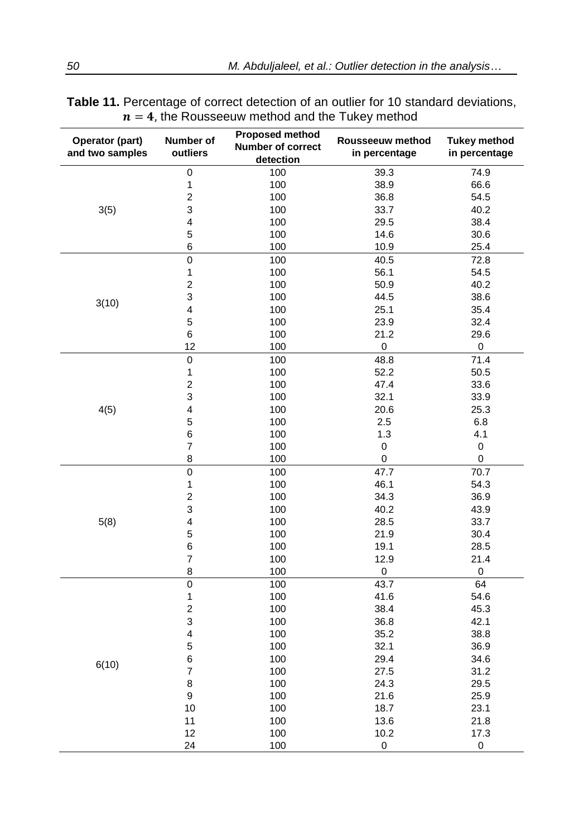| detection                                              |  |
|--------------------------------------------------------|--|
| $\overline{0}$<br>74.9<br>100<br>39.3                  |  |
| 1<br>100<br>38.9<br>66.6                               |  |
| $\overline{2}$<br>100<br>36.8<br>54.5                  |  |
| 3<br>3(5)<br>100<br>33.7<br>40.2                       |  |
| 4<br>100<br>29.5<br>38.4                               |  |
| 5<br>100<br>14.6<br>30.6                               |  |
| 6<br>100<br>10.9<br>25.4                               |  |
| 0<br>100<br>40.5<br>72.8                               |  |
| $\mathbf 1$<br>100<br>56.1<br>54.5                     |  |
| $\overline{c}$<br>100<br>50.9<br>40.2                  |  |
| 3<br>38.6<br>100<br>44.5                               |  |
| 3(10)<br>4<br>100<br>25.1<br>35.4                      |  |
| 5<br>100<br>23.9<br>32.4                               |  |
| $\,6$<br>21.2<br>100<br>29.6                           |  |
| 12<br>100<br>0<br>0                                    |  |
| 71.4<br>$\mathbf 0$<br>100<br>48.8                     |  |
| $\mathbf{1}$<br>100<br>52.2<br>50.5                    |  |
| $\overline{c}$<br>47.4<br>100<br>33.6                  |  |
| 3<br>32.1<br>33.9<br>100                               |  |
| $\overline{\mathbf{4}}$<br>4(5)<br>25.3<br>100<br>20.6 |  |
| 5<br>6.8<br>100<br>2.5                                 |  |
| 6<br>1.3<br>100<br>4.1                                 |  |
| $\boldsymbol{7}$<br>$\mathbf 0$<br>$\mathbf 0$<br>100  |  |
| 8<br>0<br>100<br>0                                     |  |
| $\mathbf 0$<br>47.7<br>70.7<br>100                     |  |
| 1<br>100<br>46.1<br>54.3                               |  |
| $\overline{c}$<br>100<br>34.3<br>36.9                  |  |
| 3<br>100<br>40.2<br>43.9                               |  |
| $\overline{\mathbf{4}}$<br>5(8)<br>28.5<br>33.7<br>100 |  |
| 5<br>100<br>21.9<br>30.4                               |  |
| 6<br>100<br>19.1<br>28.5                               |  |
| $\overline{7}$<br>12.9<br>21.4<br>100                  |  |
| 8<br>0<br>100<br>0                                     |  |
| $\overline{0}$<br>100<br>43.7<br>64                    |  |
| $\mathbf{1}$<br>41.6<br>100<br>54.6                    |  |
| $\overline{c}$<br>100<br>38.4<br>45.3                  |  |
| 3<br>100<br>42.1<br>36.8                               |  |
| $\overline{\mathbf{4}}$<br>100<br>35.2<br>38.8         |  |
| 5<br>32.1<br>36.9<br>100                               |  |
| 6<br>100<br>29.4<br>34.6<br>6(10)                      |  |
| $\overline{7}$<br>100<br>27.5<br>31.2                  |  |
| 8<br>100<br>24.3<br>29.5                               |  |
| $\boldsymbol{9}$<br>100<br>21.6<br>25.9                |  |
| 10<br>100<br>23.1<br>18.7                              |  |
| 11<br>100<br>21.8<br>13.6<br>12<br>100<br>10.2<br>17.3 |  |
| 24<br>100<br>$\boldsymbol{0}$<br>0                     |  |

| <b>Table 11.</b> Percentage of correct detection of an outlier for 10 standard deviations, |  |
|--------------------------------------------------------------------------------------------|--|
| $n = 4$ , the Rousseeuw method and the Tukey method                                        |  |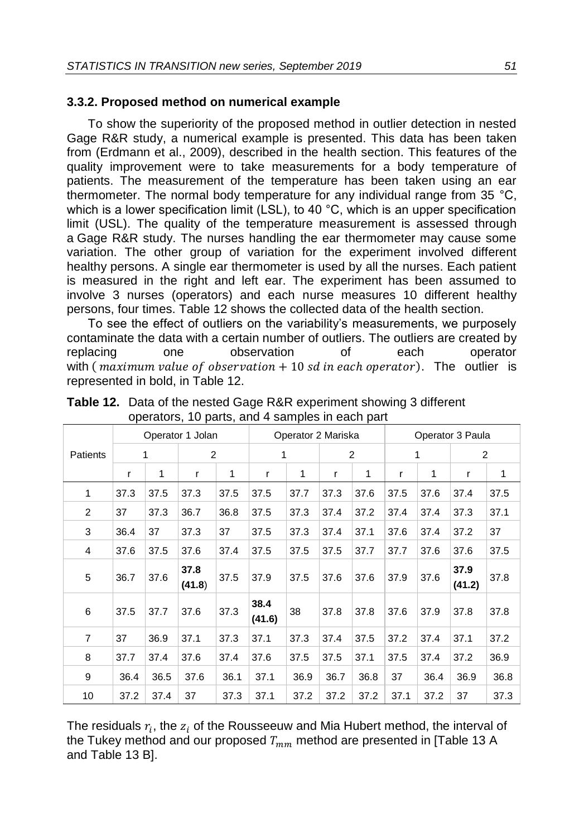### **3.3.2. Proposed method on numerical example**

To show the superiority of the proposed method in outlier detection in nested Gage R&R study, a numerical example is presented. This data has been taken from (Erdmann et al., 2009), described in the health section. This features of the quality improvement were to take measurements for a body temperature of patients. The measurement of the temperature has been taken using an ear thermometer. The normal body temperature for any individual range from 35 °C, which is a lower specification limit (LSL), to 40  $^{\circ}$ C, which is an upper specification limit (USL). The quality of the temperature measurement is assessed through a Gage R&R study. The nurses handling the ear thermometer may cause some variation. The other group of variation for the experiment involved different healthy persons. A single ear thermometer is used by all the nurses. Each patient is measured in the right and left ear. The experiment has been assumed to involve 3 nurses (operators) and each nurse measures 10 different healthy persons, four times. Table 12 shows the collected data of the health section.

To see the effect of outliers on the variability's measurements, we purposely contaminate the data with a certain number of outliers. The outliers are created by replacing one observation of each operator with (*maximum value of observation*  $+10$  *sd in each operator*). The outlier is represented in bold, in Table 12.

|          | Operator 1 Jolan |      |                | Operator 2 Mariska |                |      |      | Operator 3 Paula |      |      |                |      |
|----------|------------------|------|----------------|--------------------|----------------|------|------|------------------|------|------|----------------|------|
| Patients | 1                |      | 2              |                    | 1              |      | 2    |                  | 1    |      | 2              |      |
|          | r                | 1    | r              | 1                  | r              | 1    | r    | 1                | r    | 1    | r              | 1    |
| 1        | 37.3             | 37.5 | 37.3           | 37.5               | 37.5           | 37.7 | 37.3 | 37.6             | 37.5 | 37.6 | 37.4           | 37.5 |
| 2        | 37               | 37.3 | 36.7           | 36.8               | 37.5           | 37.3 | 37.4 | 37.2             | 37.4 | 37.4 | 37.3           | 37.1 |
| 3        | 36.4             | 37   | 37.3           | 37                 | 37.5           | 37.3 | 37.4 | 37.1             | 37.6 | 37.4 | 37.2           | 37   |
| 4        | 37.6             | 37.5 | 37.6           | 37.4               | 37.5           | 37.5 | 37.5 | 37.7             | 37.7 | 37.6 | 37.6           | 37.5 |
| 5        | 36.7             | 37.6 | 37.8<br>(41.8) | 37.5               | 37.9           | 37.5 | 37.6 | 37.6             | 37.9 | 37.6 | 37.9<br>(41.2) | 37.8 |
| 6        | 37.5             | 37.7 | 37.6           | 37.3               | 38.4<br>(41.6) | 38   | 37.8 | 37.8             | 37.6 | 37.9 | 37.8           | 37.8 |
| 7        | 37               | 36.9 | 37.1           | 37.3               | 37.1           | 37.3 | 37.4 | 37.5             | 37.2 | 37.4 | 37.1           | 37.2 |
| 8        | 37.7             | 37.4 | 37.6           | 37.4               | 37.6           | 37.5 | 37.5 | 37.1             | 37.5 | 37.4 | 37.2           | 36.9 |
| 9        | 36.4             | 36.5 | 37.6           | 36.1               | 37.1           | 36.9 | 36.7 | 36.8             | 37   | 36.4 | 36.9           | 36.8 |
| 10       | 37.2             | 37.4 | 37             | 37.3               | 37.1           | 37.2 | 37.2 | 37.2             | 37.1 | 37.2 | 37             | 37.3 |

**Table 12.** Data of the nested Gage R&R experiment showing 3 different operators, 10 parts, and 4 samples in each part

The residuals  $r_i$ , the  $z_i$  of the Rousseeuw and Mia Hubert method, the interval of the Tukey method and our proposed  $T_{mm}$  method are presented in [Table 13 A and Table 13 B].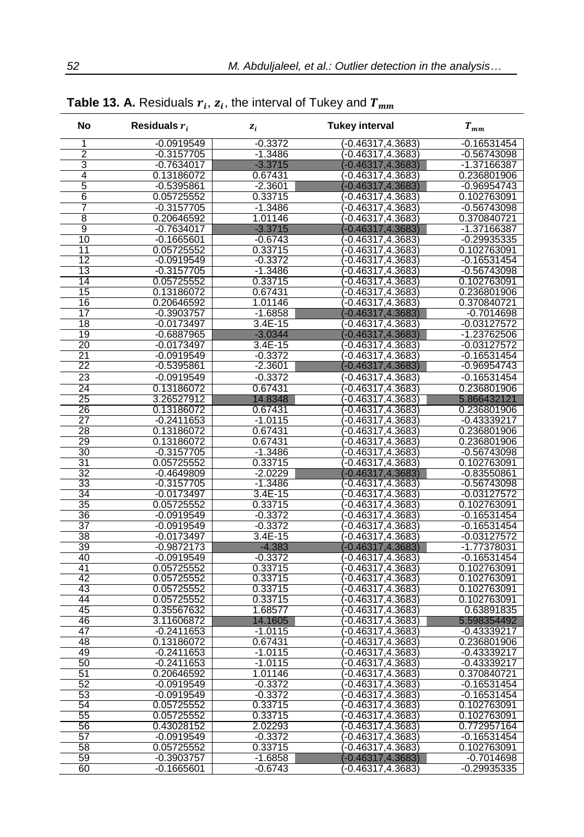| No              | Residuals $r_i$            | $z_i$                  | <b>Tukey interval</b>                     | $T_{\it{mm}}$                  |
|-----------------|----------------------------|------------------------|-------------------------------------------|--------------------------------|
| 1               | $-0.0919549$               | $-0.3372$              | $(-0.46317, 4.3683)$                      | 0.16531454                     |
| $\overline{2}$  | $-0.3157705$               | $-1.3486$              | (-0.46317,4.3683)                         | -0.56743098                    |
| 3               | $-0.7634017$               | $-3.3715$              | $(-0.46317, 4.3683)$                      | -1.37166387                    |
| 4               | 0.13186072                 | 0.67431                | (-0.46317,4.3683)                         | 0.236801906                    |
| 5               | $-0.5395861$               | $-2.3601$              | $(-0.46317, 4.3683)$                      | $-0.96954743$                  |
| 6               | 0.05725552                 | 0.33715                | $(-0.46317, 4.3683)$                      | 0.102763091                    |
|                 | $-0.3157705$               | $-1.3486$              | $-0.46317.4.3683$                         | $-0.56743098$                  |
| 8               | 0.20646592                 | 1.01146                | $-0.46317, 4.3683$                        | 0.370840721                    |
| 9               | $-0.7634017$               | $-3.3715$              | $(-0.46317, 4.3683)$                      | -1.37166387                    |
| 10              | $-0.1665601$               | $-0.6743$              | $-0.46317, 4.3683$                        | $-0.29935335$                  |
| 11<br>12        | 0.05725552<br>$-0.0919549$ | 0.33715                | $(-0.46317, 4.3683)$                      | 0.102763091                    |
| 13              | $-0.3157705$               | $-0.3372$<br>$-1.3486$ | $-0.46317, 4.3683$<br>$-0.46317, 4.3683$  | $-0.16531454$<br>$-0.56743098$ |
| 14              | 0.05725552                 | 0.33715                | $-0.46317, 4.3683$                        | 0.102763091                    |
| 15              | 0.13186072                 | 0.67431                | $-0.46317, 4.3683$                        | 0.236801906                    |
| 16              | 0.20646592                 | 1.01146                | $-0.46317, 4.3683$                        | 0.370840721                    |
| 17              | $-0.3903757$               | $-1.6858$              | $-0.46317, 4.3683$                        | $-0.7014698$                   |
| 18              | $-0.0173497$               | 3.4E-15                | $-0.46317, 4.3683$                        | -0.03127572                    |
| 19              | $-0.6887965$               | $-3.0344$              | $-0.46317, 4.3683$                        | -1.23762506                    |
| 20              | $-0.0173497$               | $3.4E - 15$            | $-0.46317, 4.3683$                        | $-0.03127572$                  |
| 21              | $-0.0919549$               | $-0.3372$              | $-0.46317, 4.3683$                        | $-0.16531454$                  |
| 22              | $-0.5395861$               | $-2.3601$              | $(-0.46317, 4.3683)$                      | $-0.96954743$                  |
| 23              | $-0.0919549$               | $-0.3372$              | (-0.46317,4.3683)                         | $-0.16531454$                  |
| 24              | 0.13186072                 | 0.67431                | $(-0.46317, 4.3683)$                      | 0.236801906                    |
| 25              | 3.26527912                 | 14.8348                | $-0.46317, 4.3683$                        | 5.866432121                    |
| 26              | 0.13186072                 | 0.67431                | $-0.46317, 4.3683$                        | 0.236801906                    |
| $\overline{27}$ | $-0.2411653$               | $-1.0115$              | $-0.46317.4.3683$                         | $-0.43339217$                  |
| 28              | 0.13186072                 | 0.67431                | -0.46317,4.3683                           | 0.236801906                    |
| 29              | 0.13186072                 | 0.67431                | $-0.46317, 4.3683$                        | 0.236801906                    |
| 30              | $-0.3157705$               | $-1.3486$              | $-0.46317, 4.3683$                        | $-0.56743098$                  |
| 31<br>32        | 0.05725552<br>$-0.4649809$ | 0.33715<br>$-2.0229$   | $-0.46317, 4.3683$<br>$-0.46317, 4.3683$  | 0.102763091<br>$-0.83550861$   |
| 33              | $-0.3157705$               | $-1.3486$              | $-0.46317, 4.3683$                        | $-0.56743098$                  |
| 34              | $-0.0173497$               | 3.4E-15                | $-0.46317, 4.3683$                        | $-0.03127572$                  |
| 35              | 0.05725552                 | 0.33715                | -0.46317.4.3683)                          | 0.102763091                    |
| 36              | $-0.0919549$               | $-0.3372$              | $-0.46317, 4.3683$                        | $-0.16531454$                  |
| 37              | $-0.0919549$               | $-0.3372$              | $-0.46317, 4.3683$                        | $-0.16531454$                  |
| 38              | $-0.0173497$               | 3.4E-15                | $-0.46317, 4.3683$                        | $-0.03127572$                  |
| 39              | $-0.9872173$               | $-4.383$               | $-0.46317.4.3683$                         | -1.77378031                    |
| 40              | $-0.0919549$               | $-0.3372$              | $-0.46317, 4.3683$                        | $-0.16531454$                  |
| 41              | 0.05725552                 | 0.33715                | $-0.46317, 4.3683$                        | 0.102763091                    |
| 42              | 0.05725552                 | 0.33715                | $-0.46317, 4.3683$                        | 0.102763091                    |
| 43              | 0.05725552                 | 0.33715                | $-0.46317, 4.3683$                        | 0.102763091                    |
| 44              | 0.05725552                 | 0.33715                | (-0.46317,4.3683)                         | 0.102763091                    |
| 45              | 0.35567632                 | 1.68577                | $-0.46317.4.3683$                         | 0.63891835                     |
| 46<br>47        | 3.11606872<br>$-0.2411653$ | 14.1605<br>$-1.0115$   | $-0.46317, 4.3683$<br>$-0.46317, 4.3683$  | 5.598354492<br>$-0.43339217$   |
| 48              | 0.13186072                 | 0.67431                | $-0.46317, 4.3683$                        | 0.236801906                    |
| 49              | $-0.2411653$               | $-1.0115$              | $-0.46317, 4.3683$                        | $-0.43339217$                  |
| 50              | $-0.2411653$               | $-1.0115$              | $(-0.46317, 4.3683)$                      | $-0.43339217$                  |
| 51              | 0.20646592                 | 1.01146                | $-0.46317, 4.3683$                        | 0.370840721                    |
| 52              | $-0.0919549$               | $-0.3372$              | -0.46317.4.3683)                          | -0.16531454                    |
| 53              | $-0.0919549$               | $-0.3372$              | $-0.46317, 4.3683$                        | $-0.16531454$                  |
| 54              | 0.05725552                 | 0.33715                | $-0.46317, 4.3683$                        | 0.102763091                    |
| 55              | 0.05725552                 | 0.33715                | $-0.46317, 4.3683$                        | 0.102763091                    |
| 56              | 0.43028152                 | 2.02293                | $-0.46317, 4.3683$                        | 0.772957164                    |
| 57              | $-0.0919549$               | $-0.3372$              | $-0.46317, 4.3683$                        | $-0.16531454$                  |
| 58              | 0.05725552                 | 0.33715                | $( -0.46317, 4.3683)$                     | 0.102763091                    |
| 59              | $-0.3903757$               | $-1.6858$              | (-0.46317,4.3683)<br>$(-0.46317, 4.3683)$ | $-0.7014698$<br>$-0.29935335$  |
| 60              | $-0.1665601$               | $-0.6743$              |                                           |                                |

**Table 13. A.** Residuals  $r_i$ ,  $z_i$ , the interval of Tukey and  $T_{mm}$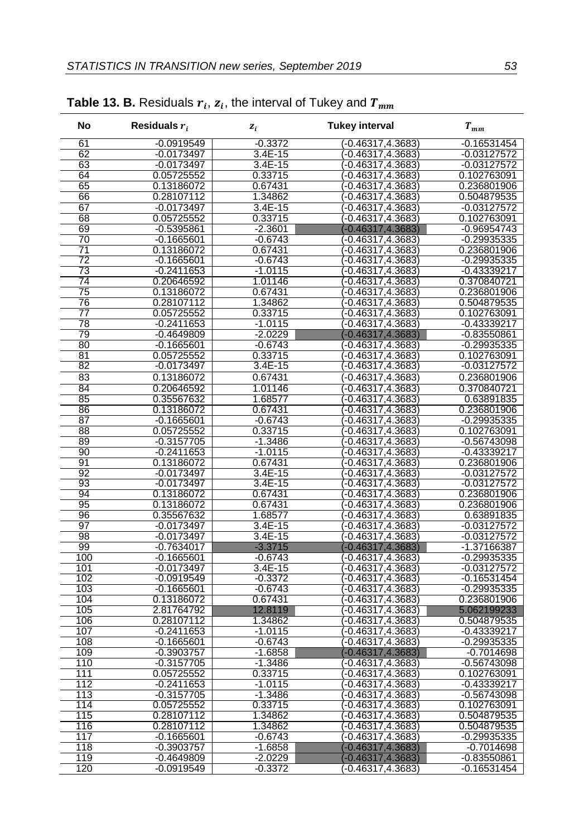| No         | Residuals $r_i$              | $z_i$                | <b>Tukey interval</b>                    | $T_{mm}$                     |
|------------|------------------------------|----------------------|------------------------------------------|------------------------------|
| 61         | $-0.0919549$                 | $-0.3372$            | $-0.46317, 4.3683$                       | $-0.16531454$                |
| 62         | $-0.0173497$                 | $3.4E - 15$          | $(-0.46317, 4.3683)$                     | $-0.03127572$                |
| 63         | $-0.0173497$                 | $3.4E - 15$          | (-0.46317,4.3683)                        | $-0.03127572$                |
| 64         | 0.05725552                   | 0.33715              | $( -0.46317, 4.3683 )$                   | 0.102763091                  |
| 65         | 0.13186072                   | 0.67431              | $\langle$ -0.46317,4.3683 $\rangle$      | 0.236801906                  |
| 66         | 0.28107112                   | 1.34862              | $(-0.46317, 4.3683)$                     | 0.504879535                  |
| 67         | $-0.0173497$                 | $3.4E - 15$          | $-0.46317, 4.3683$                       | $-0.03127572$                |
| 68         | 0.05725552                   | 0.33715              | (-0.46317,4.3683)                        | 0.102763091                  |
| 69         | $-0.5395861$                 | $-2.3601$            | $-0.46317.4.3683$                        | $-0.96954743$                |
| 70         | $-0.1665601$                 | $-0.6743$            | (-0.46317,4.3683)                        | $-0.29935335$                |
| 71         | 0.13186072                   | 0.67431              | $-0.46317.4.3683$                        | 0.236801906                  |
| 72         | $-0.1665601$                 | $-0.6743$            | $-0.46317, 4.3683$                       | $-0.29935335$                |
| 73         | $-0.2411653$                 | $-1.0115$            | $-0.46317, 4.3683$                       | $-0.43339217$                |
| 74         | 0.20646592                   | 1.01146              | $-0.46317, 4.3683$                       | 0.370840721                  |
| 75         | 0.13186072                   | 0.67431              | (-0.46317,4.3683)                        | 0.236801906                  |
| 76         | 0.28107112                   | 1.34862              | -0.46317,4.3683                          | 0.504879535                  |
| 77<br>78   | 0.05725552                   | 0.33715<br>$-1.0115$ | $-0.46317, 4.3683$                       | 0.102763091                  |
| 79         | $-0.2411653$<br>$-0.4649809$ | $-2.0229$            | $-0.46317, 4.3683$<br>$-0.46317, 4.3683$ | -0.43339217<br>$-0.83550861$ |
| 80         | $-0.1665601$                 | $-0.6743$            | (-0.46317,4.3683)                        | $-0.29935335$                |
| 81         | 0.05725552                   | 0.33715              | (-0.46317,4.3683)                        | 0.102763091                  |
| 82         | $-0.0173497$                 | $3.4E - 15$          | (-0.46317,4.3683)                        | $-0.03127572$                |
| 83         | 0.13186072                   | 0.67431              | $(-0.46317, 4.3683)$                     | 0.236801906                  |
| 84         | 0.20646592                   | 1.01146              | (-0.46317,4.3683)                        | 0.370840721                  |
| 85         | 0.35567632                   | 1.68577              | $(-0.46317, 4.3683)$                     | 0.63891835                   |
| 86         | 0.13186072                   | 0.67431              | (-0.46317,4.3683)                        | 0.236801906                  |
| 87         | $-0.1665601$                 | $-0.6743$            | $-0.46317, 4.3683$                       | $-0.29935335$                |
| 88         | 0.05725552                   | 0.33715              | $-0.46317, 4.3683$                       | 0.102763091                  |
| 89         | $-0.3157705$                 | $-1.3486$            | $-0.46317, 4.3683$                       | $-0.56743098$                |
| 90         | $-0.2411653$                 | $-1.0115$            | (-0.46317,4.3683)                        | -0.43339217                  |
| 91         | 0.13186072                   | 0.67431              | 1-0.46317,4.3683                         | 0.236801906                  |
| 92         | $-0.0173497$                 | 3.4E-15              | $-0.46317, 4.3683$                       | $-0.03127572$                |
| 93         | $-0.0173497$                 | $3.4E - 15$          | $-0.46317, 4.3683$                       | $-0.03127572$                |
| 94         | 0.13186072                   | 0.67431              | -0.46317,4.3683)                         | 0.236801906                  |
| 95         | 0.13186072                   | 0.67431              | $-0.46317, 4.3683$                       | 0.236801906                  |
| 96         | 0.35567632                   | 1.68577              | (-0.46317,4.3683)                        | 0.63891835                   |
| 97         | $-0.0173497$                 | 3.4E-15              | (-0.46317,4.3683                         | $-0.03127572$                |
| 98         | $-0.0173497$                 | $3.4E - 15$          | $-0.46317, 4.3683$                       | $-0.03127572$                |
| 99         | $-0.7634017$                 | $-3.3715$            | $-0.46317, 4.3683$                       | -1.37166387                  |
| 100        | $-0.1665601$                 | $-0.6743$            | $-0.46317, 4.3683$                       | $-0.29935335$                |
| 101        | $-0.0173497$                 | 3.4E-15              | (-0.46317,4.3683)                        | $-0.03127572$                |
| 102        | $-0.0919549$                 | $-0.3372$            | $-0.46317, 4.3683$                       | $-0.16531454$                |
| 103        | $-0.1665601$                 | $-0.6743$            | 1-0.46317,4.3683                         | $-0.29935335$<br>0.236801906 |
| 104<br>105 | 0.13186072<br>2.81764792     | 0.67431<br>12.8119   | $-0.46317, 4.3683$<br>$-0.46317.4.3683$  | 5.062199233                  |
| 106        | 0.28107112                   | 1.34862              | $-0.46317, 4.3683$                       | 0.504879535                  |
| 107        | $-0.2411653$                 | $-1.0115$            | (-0.46317,4.3683)                        | $-0.43339217$                |
| 108        | $-0.1665601$                 | $-0.6743$            | 1-0.46317,4.3683                         | $-0.29935335$                |
| 109        | $-0.3903757$                 | $-1.6858$            | $-0.46317, 4.3683$                       | $-0.7014698$                 |
| 110        | $-0.3157705$                 | $-1.3486$            | $( -0.46317, 4.3683 )$                   | $-0.56743098$                |
| 111        | 0.05725552                   | 0.33715              | (-0.46317,4.3683)                        | 0.102763091                  |
| 112        | -0.2411653                   | $-1.0115$            | (-0.46317,4.3683)                        | $-0.43339217$                |
| 113        | -0.3157705                   | $-1.3486$            | (-0.46317,4.3683)                        | $-0.56743098$                |
| 114        | 0.05725552                   | 0.33715              | (-0.46317,4.3683)                        | 0.102763091                  |
| 115        | 0.28107112                   | 1.34862              | $-0.46317, 4.3683$                       | 0.504879535                  |
| 116        | 0.28107112                   | 1.34862              | $-0.46317, 4.3683$                       | 0.504879535                  |
| 117        | $-0.1665601$                 | $-0.6743$            | (-0.46317,4.3683)                        | $-0.29935335$                |
| 118        | $-0.3903757$                 | $-1.6858$            | (-0.46317,4.3683)                        | $-0.7014698$                 |
| 119        | $-0.4649809$                 | $-2.0229$            | (-0.46317,4.3683)                        | $-0.83550861$                |
| 120        | $-0.0919549$                 | $-0.3372$            | (-0.46317.4.3683)                        | $-0.16531454$                |

### **Table 13. B.** Residuals  $r_i$ ,  $z_i$ , the interval of Tukey and  $T_{mm}$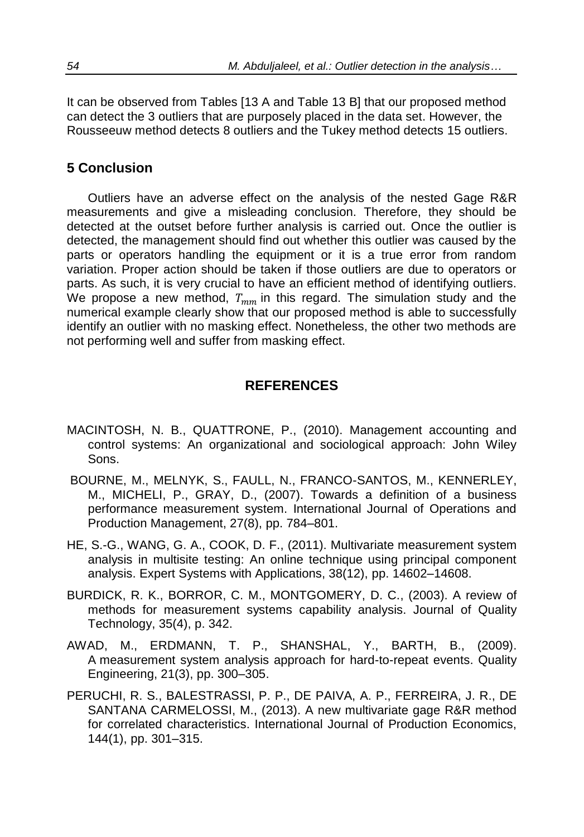It can be observed from Tables [13 A and Table 13 B] that our proposed method can detect the 3 outliers that are purposely placed in the data set. However, the Rousseeuw method detects 8 outliers and the Tukey method detects 15 outliers.

# **5 Conclusion**

Outliers have an adverse effect on the analysis of the nested Gage R&R measurements and give a misleading conclusion. Therefore, they should be detected at the outset before further analysis is carried out. Once the outlier is detected, the management should find out whether this outlier was caused by the parts or operators handling the equipment or it is a true error from random variation. Proper action should be taken if those outliers are due to operators or parts. As such, it is very crucial to have an efficient method of identifying outliers. We propose a new method,  $T_{mm}$  in this regard. The simulation study and the numerical example clearly show that our proposed method is able to successfully identify an outlier with no masking effect. Nonetheless, the other two methods are not performing well and suffer from masking effect.

# **REFERENCES**

- MACINTOSH, N. B., QUATTRONE, P., (2010). Management accounting and control systems: An organizational and sociological approach: John Wiley Sons.
- BOURNE, M., MELNYK, S., FAULL, N., FRANCO-SANTOS, M., KENNERLEY, M., MICHELI, P., GRAY, D., (2007). Towards a definition of a business performance measurement system. International Journal of Operations and Production Management, 27(8), pp. 784–801.
- HE, S.-G., WANG, G. A., COOK, D. F., (2011). Multivariate measurement system analysis in multisite testing: An online technique using principal component analysis. Expert Systems with Applications, 38(12), pp. 14602–14608.
- BURDICK, R. K., BORROR, C. M., MONTGOMERY, D. C., (2003). A review of methods for measurement systems capability analysis. Journal of Quality Technology, 35(4), p. 342.
- AWAD, M., ERDMANN, T. P., SHANSHAL, Y., BARTH, B., (2009). A measurement system analysis approach for hard-to-repeat events. Quality Engineering, 21(3), pp. 300–305.
- PERUCHI, R. S., BALESTRASSI, P. P., DE PAIVA, A. P., FERREIRA, J. R., DE SANTANA CARMELOSSI, M., (2013). A new multivariate gage R&R method for correlated characteristics. International Journal of Production Economics, 144(1), pp. 301–315.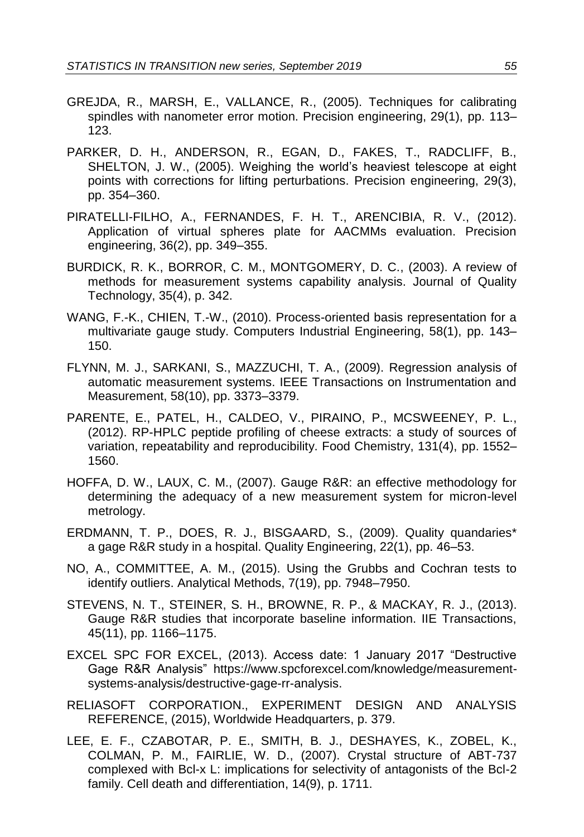- GREJDA, R., MARSH, E., VALLANCE, R., (2005). Techniques for calibrating spindles with nanometer error motion. Precision engineering, 29(1), pp. 113– 123.
- PARKER, D. H., ANDERSON, R., EGAN, D., FAKES, T., RADCLIFF, B., SHELTON, J. W., (2005). Weighing the world's heaviest telescope at eight points with corrections for lifting perturbations. Precision engineering, 29(3), pp. 354–360.
- PIRATELLI-FILHO, A., FERNANDES, F. H. T., ARENCIBIA, R. V., (2012). Application of virtual spheres plate for AACMMs evaluation. Precision engineering, 36(2), pp. 349–355.
- BURDICK, R. K., BORROR, C. M., MONTGOMERY, D. C., (2003). A review of methods for measurement systems capability analysis. Journal of Quality Technology, 35(4), p. 342.
- WANG, F.-K., CHIEN, T.-W., (2010). Process-oriented basis representation for a multivariate gauge study. Computers Industrial Engineering, 58(1), pp. 143– 150.
- FLYNN, M. J., SARKANI, S., MAZZUCHI, T. A., (2009). Regression analysis of automatic measurement systems. IEEE Transactions on Instrumentation and Measurement, 58(10), pp. 3373–3379.
- PARENTE, E., PATEL, H., CALDEO, V., PIRAINO, P., MCSWEENEY, P. L., (2012). RP-HPLC peptide profiling of cheese extracts: a study of sources of variation, repeatability and reproducibility. Food Chemistry, 131(4), pp. 1552– 1560.
- HOFFA, D. W., LAUX, C. M., (2007). Gauge R&R: an effective methodology for determining the adequacy of a new measurement system for micron-level metrology.
- ERDMANN, T. P., DOES, R. J., BISGAARD, S., (2009). Quality quandaries\* a gage R&R study in a hospital. Quality Engineering, 22(1), pp. 46–53.
- NO, A., COMMITTEE, A. M., (2015). Using the Grubbs and Cochran tests to identify outliers. Analytical Methods, 7(19), pp. 7948–7950.
- STEVENS, N. T., STEINER, S. H., BROWNE, R. P., & MACKAY, R. J., (2013). Gauge R&R studies that incorporate baseline information. IIE Transactions, 45(11), pp. 1166–1175.
- EXCEL SPC FOR EXCEL, (2013). Access date: 1 January 2017 "Destructive Gage R&R Analysis" [https://www.spcforexcel.com/knowledge/measurement](https://www.spcforexcel.com/knowledge/measurement-systems-analysis/destructive-gage-rr-analysis)[systems-analysis/destructive-gage-rr-analysis.](https://www.spcforexcel.com/knowledge/measurement-systems-analysis/destructive-gage-rr-analysis)
- RELIASOFT CORPORATION., EXPERIMENT DESIGN AND ANALYSIS REFERENCE, (2015), Worldwide Headquarters, p. 379.
- LEE, E. F., CZABOTAR, P. E., SMITH, B. J., DESHAYES, K., ZOBEL, K., COLMAN, P. M., FAIRLIE, W. D., (2007). Crystal structure of ABT-737 complexed with Bcl-x L: implications for selectivity of antagonists of the Bcl-2 family. Cell death and differentiation, 14(9), p. 1711.